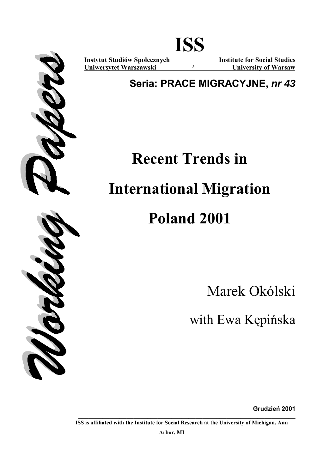

**Instytut Studiów Społecznych Institute for Social Studies Uniwersytet Warszawski \* University of Warsaw**

# **Seria: PRACE MIGRACYJNE,** *nr 43*

# **Recent Trends in**

# **International Migration**

# **Poland 2001**

Marek Okólski

with Ewa Kępińska

**Grudzień 2001**

**ISS is affiliated with the Institute for Social Research at the University of Michigan, Ann** 

**\_\_\_\_\_\_\_\_\_\_\_\_\_\_\_\_\_\_\_\_\_\_\_\_\_\_\_\_\_\_\_\_\_\_\_\_\_\_\_\_\_\_\_\_\_\_\_\_\_\_\_\_\_\_\_\_\_\_\_\_\_\_\_** 

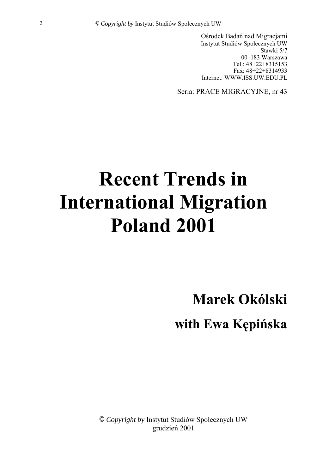Ośrodek Badań nad Migracjami Instytut Studiów Społecznych UW Stawki 5/7 00-183 Warszawa Tel.: 48+22+8315153 Fax: 48+22+8314933 Internet: WWW.ISS.UW.EDU.PL

Seria: PRACE MIGRACYJNE, nr 43

# **Recent Trends in International Migration Poland 2001**

**Marek OkÛlski** 

**with Ewa Kępińska**

© Copyright by Instytut Studiów Społecznych UW grudzień 2001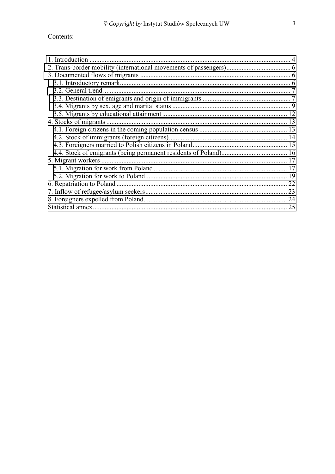| 1. Introduction |  |
|-----------------|--|
|                 |  |
|                 |  |
|                 |  |
|                 |  |
|                 |  |
|                 |  |
|                 |  |
|                 |  |
|                 |  |
|                 |  |
|                 |  |
|                 |  |
|                 |  |
|                 |  |
|                 |  |
|                 |  |
|                 |  |
|                 |  |
|                 |  |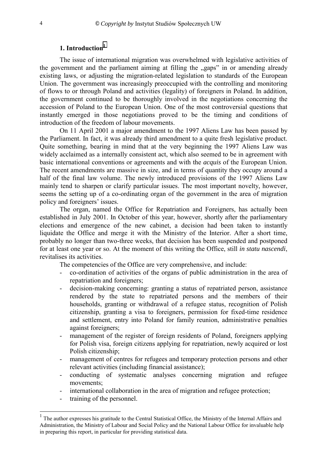### **1. Introduction<sup>1</sup>**

<span id="page-3-0"></span>The issue of international migration was overwhelmed with legislative activities of the government and the parliament aiming at filling the "gaps" in or amending already existing laws, or adjusting the migration-related legislation to standards of the European Union. The government was increasingly preoccupied with the controlling and monitoring of flows to or through Poland and activities (legality) of foreigners in Poland. In addition, the government continued to be thoroughly involved in the negotiations concerning the accession of Poland to the European Union. One of the most controversial questions that instantly emerged in those negotiations proved to be the timing and conditions of introduction of the freedom of labour movements.

On 11 April 2001 a major amendment to the 1997 Aliens Law has been passed by the Parliament. In fact, it was already third amendment to a quite fresh legislative product. Quite something, bearing in mind that at the very beginning the 1997 Aliens Law was widely acclaimed as a internally consistent act, which also seemed to be in agreement with basic international conventions or agreements and with the *acquis* of the European Union*.*  The recent amendments are massive in size, and in terms of quantity they occupy around a half of the final law volume. The newly introduced provisions of the 1997 Aliens Law mainly tend to sharpen or clarify particular issues. The most important novelty, however, seems the setting up of a co-ordinating organ of the government in the area of migration policy and foreigners' issues.

The organ, named the Office for Repatriation and Foreigners, has actually been established in July 2001. In October of this year, however, shortly after the parliamentary elections and emergence of the new cabinet, a decision had been taken to instantly liquidate the Office and merge it with the Ministry of the Interior. After a short time, probably no longer than two-three weeks, that decision has been suspended and postponed for at least one year or so. At the moment of this writing the Office, still *in statu nascendi*, revitalises its activities.

The competencies of the Office are very comprehensive, and include:

- co-ordination of activities of the organs of public administration in the area of repatriation and foreigners;
- decision-making concerning: granting a status of repatriated person, assistance rendered by the state to repatriated persons and the members of their households, granting or withdrawal of a refugee status, recognition of Polish citizenship, granting a visa to foreigners, permission for fixed-time residence and settlement, entry into Poland for family reunion, administrative penalties against foreigners;
- management of the register of foreign residents of Poland, foreigners applying for Polish visa, foreign citizens applying for repatriation, newly acquired or lost Polish citizenship;
- management of centres for refugees and temporary protection persons and other relevant activities (including financial assistance);
- conducting of systematic analyses concerning migration and refugee movements;
- international collaboration in the area of migration and refugee protection;
- training of the personnel.

 $\overline{a}$ 

<sup>&</sup>lt;sup>1</sup> The author expresses his gratitude to the Central Statistical Office, the Ministry of the Internal Affairs and Administration, the Ministry of Labour and Social Policy and the National Labour Office for invaluable help in preparing this report, in particular for providing statistical data.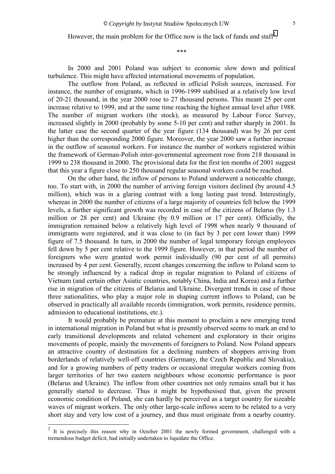However, the main problem for the Office now is the lack of funds and staff<sup>2</sup>.

\*\*\*

In 2000 and 2001 Poland was subject to economic slow down and political turbulence. This might have affected international movements of population.

The outflow from Poland, as reflected in official Polish sources, increased. For instance, the number of emigrants, which in 1996-1999 stabilised at a relatively low level of 20-21 thousand, in the year 2000 rose to 27 thousand persons. This meant 25 per cent increase relative to 1999, and at the same time reaching the highest annual level after 1988. The number of migrant workers (the stock), as measured by Labour Force Survey, increased slightly in 2000 (probably by some 5-10 per cent) and rather sharply in 2001. In the latter case the second quarter of the year figure (134 thousand) was by 26 per cent higher than the corresponding 2000 figure. Moreover, the year 2000 saw a further increase in the outflow of seasonal workers. For instance the number of workers registered within the framework of German-Polish inter-governmental agreement rose from 218 thousand in 1999 to 238 thousand in 2000. The provisional data for the first ten months of 2001 suggest that this year a figure close to 250 thousand regular seasonal workers could be reached.

On the other hand, the inflow of persons to Poland underwent a noticeable change, too. To start with, in 2000 the number of arriving foreign visitors declined (by around 4.5 million), which was in a glaring contrast with a long lasting past trend. Interestingly, whereas in 2000 the number of citizens of a large majority of countries fell below the 1999 levels, a further significant growth was recorded in case of the citizens of Belarus (by 1.3 million or 28 per cent) and Ukraine (by 0.9 million or 17 per cent). Officially, the immigration remained below a relatively high level of 1998 when nearly 9 thousand of immigrants were registered, and it was close to (in fact by 3 per cent lower than) 1999 figure of 7.5 thousand. In turn, in 2000 the number of legal temporary foreign employees fell down by 5 per cent relative to the 1999 figure. However, in that period the number of foreigners who were granted work permit individually (90 per cent of all permits) increased by 4 per cent. Generally, recent changes concerning the inflow to Poland seem to be strongly influenced by a radical drop in regular migration to Poland of citizens of Vietnam (and certain other Asiatic countries, notably China, India and Korea) and a further rise in migration of the citizens of Belarus and Ukraine. Divergent trends in case of those three nationalities, who play a major role in shaping current inflows to Poland, can be observed in practically all available records (immigration, work permits, residence permits, admission to educational institutions, etc.).

It would probably be premature at this moment to proclaim a new emerging trend in international migration in Poland but what is presently observed seems to mark an end to early transitional developments and related vehement and exploratory in their origins movements of people, mainly the movements of foreigners to Poland. Now Poland appears an attractive country of destination for a declining numbers of shoppers arriving from borderlands of relatively well-off countries (Germany, the Czech Republic and Slovakia), and for a growing numbers of petty traders or occasional irregular workers coming from larger territories of her two eastern neighbours whose economic performance is poor (Belarus and Ukraine). The inflow from other countries not only remains small but it has generally started to decrease. Thus it might be hypothesised that, given the present economic condition of Poland, she can hardly be perceived as a target country for sizeable waves of migrant workers. The only other large-scale inflows seem to be related to a very short stay and very low cost of a journey, and thus must originate from a nearby country.

 $\frac{1}{2}$  It is precisely this reason why in October 2001 the newly formed government, challenged with a tremendous budget deficit, had initially undertaken to liquidate the Office.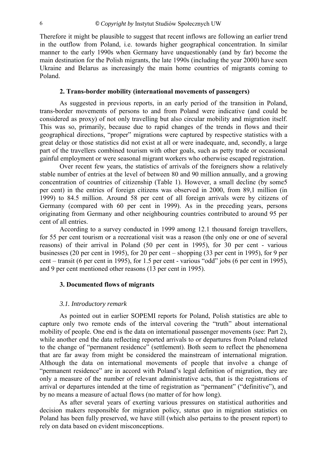<span id="page-5-0"></span>Therefore it might be plausible to suggest that recent inflows are following an earlier trend in the outflow from Poland, i.e. towards higher geographical concentration. In similar manner to the early 1990s when Germany have unquestionably (and by far) become the main destination for the Polish migrants, the late 1990s (including the year 2000) have seen Ukraine and Belarus as increasingly the main home countries of migrants coming to Poland.

#### **2. Trans-border mobility (international movements of passengers)**

As suggested in previous reports, in an early period of the transition in Poland, trans-border movements of persons to and from Poland were indicative (and could be considered as proxy) of not only travelling but also circular mobility and migration itself. This was so, primarily, because due to rapid changes of the trends in flows and their geographical directions, "proper" migrations were captured by respective statistics with a great delay or those statistics did not exist at all or were inadequate, and, secondly, a large part of the travellers combined tourism with other goals, such as petty trade or occasional gainful employment or were seasonal migrant workers who otherwise escaped registration.

Over recent few years, the statistics of arrivals of the foreigners show a relatively stable number of entries at the level of between 80 and 90 million annually, and a growing concentration of countries of citizenship (Table 1). However, a small decline (by some5 per cent) in the entries of foreign citizens was observed in 2000, from 89,1 million (in 1999) to 84.5 million. Around 58 per cent of all foreign arrivals were by citizens of Germany (compared with 60 per cent in 1999). As in the preceding years, persons originating from Germany and other neighbouring countries contributed to around 95 per cent of all entries.

According to a survey conducted in 1999 among 12.1 thousand foreign travellers, for 55 per cent tourism or a recreational visit was a reason (the only one or one of several reasons) of their arrival in Poland (50 per cent in 1995), for 30 per cent - various businesses (20 per cent in 1995), for 20 per cent  $-$  shopping (33 per cent in 1995), for 9 per cent – transit (6 per cent in 1995), for 1.5 per cent - various "odd" jobs (6 per cent in 1995), and 9 per cent mentioned other reasons (13 per cent in 1995).

#### **3. Documented flows of migrants**

#### *3.1. Introductory remark*

As pointed out in earlier SOPEMI reports for Poland, Polish statistics are able to capture only two remote ends of the interval covering the "truth" about international mobility of people. One end is the data on international passenger movements (see: Part 2), while another end the data reflecting reported arrivals to or departures from Poland related to the change of "permanent residence" (settlement). Both seem to reflect the phenomena that are far away from might be considered the mainstream of international migration. Although the data on international movements of people that involve a change of "permanent residence" are in accord with Poland's legal definition of migration, they are only a measure of the number of relevant administrative acts, that is the registrations of arrival or departures intended at the time of registration as "permanent" ("definitive"), and by no means a measure of actual flows (no matter of for how long).

As after several years of exerting various pressures on statistical authorities and decision makers responsible for migration policy, *status quo* in migration statistics on Poland has been fully preserved, we have still (which also pertains to the present report) to rely on data based on evident misconceptions.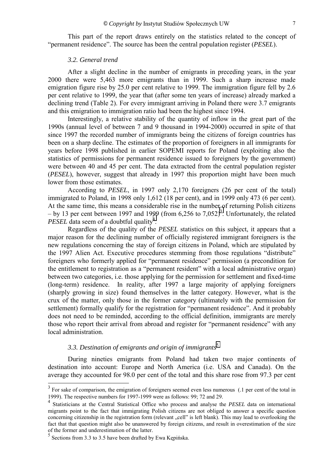<span id="page-6-0"></span>This part of the report draws entirely on the statistics related to the concept of ìpermanent residenceî. The source has been the central population register (*PESEL*).

#### *3.2. General trend*

After a slight decline in the number of emigrants in preceding years, in the year 2000 there were 5,463 more emigrants than in 1999. Such a sharp increase made emigration figure rise by 25.0 per cent relative to 1999. The immigration figure fell by 2.6 per cent relative to 1999, the year that (after some ten years of increase) already marked a declining trend (Table 2). For every immigrant arriving in Poland there were 3.7 emigrants and this emigration to immigration ratio had been the highest since 1994.

Interestingly, a relative stability of the quantity of inflow in the great part of the 1990s (annual level of between 7 and 9 thousand in 1994-2000) occurred in spite of that since 1997 the recorded number of immigrants being the citizens of foreign countries has been on a sharp decline. The estimates of the proportion of foreigners in all immigrants for years before 1998 published in earlier SOPEMI reports for Poland (exploiting also the statistics of permissions for permanent residence issued to foreigners by the government) were between 40 and 45 per cent. The data extracted from the central population register (*PESEL*), however, suggest that already in 1997 this proportion might have been much lower from those estimates.

According to *PESEL*, in 1997 only 2,170 foreigners (26 per cent of the total) immigrated to Poland, in 1998 only 1,612 (18 per cent), and in 1999 only 473 (6 per cent). At the same time, this means a considerable rise in the number of returning Polish citizens  $-$  by 13 per cent between 1997 and 1999 (from 6,256 to 7,052)<sup>3</sup>. Unfortunately, the related *PESEL* data seem of a doubtful quality<sup>4</sup>.

Regardless of the quality of the *PESEL* statistics on this subject, it appears that a major reason for the declining number of officially registered immigrant foreigners is the new regulations concerning the stay of foreign citizens in Poland, which are stipulated by the 1997 Alien Act. Executive procedures stemming from those regulations "distribute" foreigners who formerly applied for "permanent residence" permission (a precondition for the entitlement to registration as a "permanent resident" with a local administrative organ) between two categories, i.e. those applying for the permission for settlement and fixed-time (long-term) residence. In reality, after 1997 a large majority of applying foreigners (sharply growing in size) found themselves in the latter category. However, what is the crux of the matter, only those in the former category (ultimately with the permission for settlement) formally qualify for the registration for "permanent residence". And it probably does not need to be reminded, according to the official definition, immigrants are merely those who report their arrival from abroad and register for "permanent residence" with any local administration.

### *3.3. Destination of emigrants and origin of immigrants*<sup>5</sup>

During nineties emigrants from Poland had taken two major continents of destination into account: Europe and North America (i.e. USA and Canada). On the average they accounted for 98.0 per cent of the total and this share rose from 97.3 per cent

l

 $3 \text{ For sake of comparison, the emigration of foreigners seemed even less numerous } (1 \text{ per cent of the total in } 3 \text{ for each of the total in } 3 \text{ for each of the total in } 3 \text{ for each of the total in } 3 \text{ for each of the total in } 3 \text{ for each of the total in } 3 \text{ for each of the total in } 3 \text{ for each of the total in } 3 \text{ for each of the total in the total of the total.}$ 1999). The respective numbers for 1997-1999 were as follows: 99; 72 and 29.

<sup>4</sup> Statisticians at the Central Statistical Office who process and analyse the *PESEL* data on international migrants point to the fact that immigrating Polish citizens are not obliged to answer a specific question concerning citizenship in the registration form (relevant , cell<sup>?</sup> is left blank). This may lead to overlooking the fact that that question might also be unanswered by foreign citizens, and result in overestimation of the size of the former and underestimation of the latter.

 $<sup>5</sup>$  Sections from 3.3 to 3.5 have been drafted by Ewa Kępińska.</sup>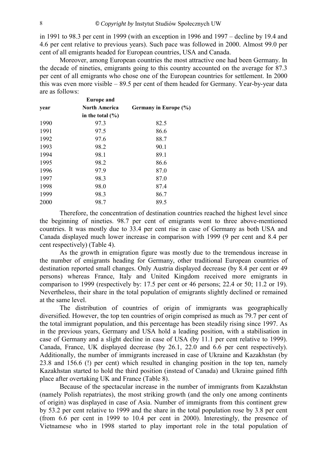in 1991 to 98.3 per cent in 1999 (with an exception in 1996 and  $1997$  – decline by 19.4 and 4.6 per cent relative to previous years). Such pace was followed in 2000. Almost 99.0 per cent of all emigrants headed for European countries, USA and Canada.

Moreover, among European countries the most attractive one had been Germany. In the decade of nineties, emigrants going to this country accounted on the average for 87.3 per cent of all emigrants who chose one of the European countries for settlement. In 2000 this was even more visible  $-89.5$  per cent of them headed for Germany. Year-by-year data are as follows:

|      | <b>Europe</b> and    |                       |
|------|----------------------|-----------------------|
| year | <b>North America</b> | Germany in Europe (%) |
|      | in the total $(\% )$ |                       |
| 1990 | 97.3                 | 82.5                  |
| 1991 | 97.5                 | 86.6                  |
| 1992 | 97.6                 | 88.7                  |
| 1993 | 98.2                 | 90.1                  |
| 1994 | 98.1                 | 89.1                  |
| 1995 | 98.2                 | 86.6                  |
| 1996 | 97.9                 | 87.0                  |
| 1997 | 98.3                 | 87.0                  |
| 1998 | 98.0                 | 87.4                  |
| 1999 | 98.3                 | 86.7                  |
| 2000 | 98.7                 | 89.5                  |
|      |                      |                       |

Therefore, the concentration of destination countries reached the highest level since the beginning of nineties. 98.7 per cent of emigrants went to three above-mentioned countries. It was mostly due to 33.4 per cent rise in case of Germany as both USA and Canada displayed much lower increase in comparison with 1999 (9 per cent and 8.4 per cent respectively) (Table 4).

As the growth in emigration figure was mostly due to the tremendous increase in the number of emigrants heading for Germany, other traditional European countries of destination reported small changes. Only Austria displayed decrease (by 8.4 per cent or 49 persons) whereas France, Italy and United Kingdom received more emigrants in comparison to 1999 (respectively by: 17.5 per cent or 46 persons; 22.4 or 50; 11.2 or 19). Nevertheless, their share in the total population of emigrants slightly declined or remained at the same level.

The distribution of countries of origin of immigrants was geographically diversified. However, the top ten countries of origin comprised as much as 79.7 per cent of the total immigrant population, and this percentage has been steadily rising since 1997. As in the previous years, Germany and USA hold a leading position, with a stabilisation in case of Germany and a slight decline in case of USA (by 11.1 per cent relative to 1999). Canada, France, UK displayed decrease (by 26.1, 22.0 and 6.6 per cent respectively). Additionally, the number of immigrants increased in case of Ukraine and Kazakhstan (by 23.8 and 156.6 (!) per cent) which resulted in changing position in the top ten, namely Kazakhstan started to hold the third position (instead of Canada) and Ukraine gained fifth place after overtaking UK and France (Table 8).

Because of the spectacular increase in the number of immigrants from Kazakhstan (namely Polish repatriates), the most striking growth (and the only one among continents of origin) was displayed in case of Asia. Number of immigrants from this continent grew by 53.2 per cent relative to 1999 and the share in the total population rose by 3.8 per cent (from 6.6 per cent in 1999 to 10.4 per cent in 2000). Interestingly, the presence of Vietnamese who in 1998 started to play important role in the total population of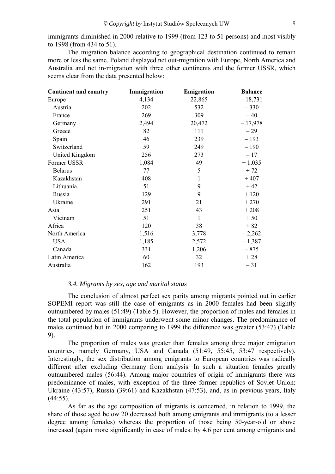<span id="page-8-0"></span>immigrants diminished in 2000 relative to 1999 (from 123 to 51 persons) and most visibly to 1998 (from 434 to 51).

The migration balance according to geographical destination continued to remain more or less the same. Poland displayed net out-migration with Europe, North America and Australia and net in-migration with three other continents and the former USSR, which seems clear from the data presented below:

| <b>Continent and country</b> | Immigration | Emigration   | <b>Balance</b> |
|------------------------------|-------------|--------------|----------------|
| Europe                       | 4,134       | 22,865       | $-18,731$      |
| Austria                      | 202         | 532          | $-330$         |
| France                       | 269         | 309          | $-40$          |
| Germany                      | 2,494       | 20,472       | $-17,978$      |
| Greece                       | 82          | 111          | $-29$          |
| Spain                        | 46          | 239          | $-193$         |
| Switzerland                  | 59          | 249          | $-190$         |
| United Kingdom               | 256         | 273          | $-17$          |
| Former USSR                  | 1,084       | 49           | $+1,035$       |
| <b>Belarus</b>               | 77          | 5            | $+72$          |
| Kazakhstan                   | 408         | $\mathbf{1}$ | $+407$         |
| Lithuania                    | 51          | 9            | $+42$          |
| Russia                       | 129         | 9            | $+120$         |
| Ukraine                      | 291         | 21           | $+270$         |
| Asia                         | 251         | 43           | $+208$         |
| Vietnam                      | 51          | $\mathbf{1}$ | $+50$          |
| Africa                       | 120         | 38           | $+82$          |
| North America                | 1,516       | 3,778        | $-2,262$       |
| <b>USA</b>                   | 1,185       | 2,572        | $-1,387$       |
| Canada                       | 331         | 1,206        | $-875$         |
| Latin America                | 60          | 32           | $+28$          |
| Australia                    | 162         | 193          | $-31$          |
|                              |             |              |                |

#### *3.4. Migrants by sex, age and marital status*

The conclusion of almost perfect sex parity among migrants pointed out in earlier SOPEMI report was still the case of emigrants as in 2000 females had been slightly outnumbered by males (51:49) (Table 5). However, the proportion of males and females in the total population of immigrants underwent some minor changes. The predominance of males continued but in 2000 comparing to 1999 the difference was greater (53:47) (Table 9).

The proportion of males was greater than females among three major emigration countries, namely Germany, USA and Canada (51:49, 55:45, 53:47 respectively). Interestingly, the sex distribution among emigrants to European countries was radically different after excluding Germany from analysis. In such a situation females greatly outnumbered males (56:44). Among major countries of origin of immigrants there was predominance of males, with exception of the three former republics of Soviet Union: Ukraine (43:57), Russia (39:61) and Kazakhstan (47:53), and, as in previous years, Italy  $(44:55)$ .

As far as the age composition of migrants is concerned, in relation to 1999, the share of those aged below 20 decreased both among emigrants and immigrants (to a lesser degree among females) whereas the proportion of those being 50-year-old or above increased (again more significantly in case of males: by 4.6 per cent among emigrants and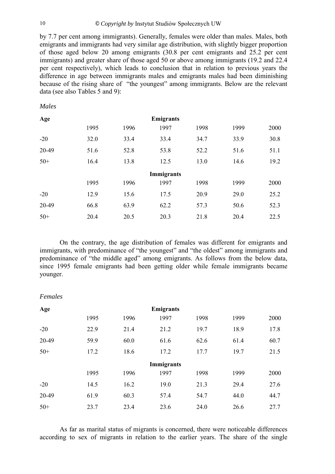by 7.7 per cent among immigrants). Generally, females were older than males. Males, both emigrants and immigrants had very similar age distribution, with slightly bigger proportion of those aged below 20 among emigrants (30.8 per cent emigrants and 25.2 per cent immigrants) and greater share of those aged 50 or above among immigrants (19.2 and 22.4 per cent respectively), which leads to conclusion that in relation to previous years the difference in age between immigrants males and emigrants males had been diminishing because of the rising share of "the youngest" among immigrants. Below are the relevant data (see also Tables 5 and 9):

#### *Males*

*Females* 

| Age   |      |      | <b>Emigrants</b> |      |      |      |
|-------|------|------|------------------|------|------|------|
|       | 1995 | 1996 | 1997             | 1998 | 1999 | 2000 |
| $-20$ | 32.0 | 33.4 | 33.4             | 34.7 | 33.9 | 30.8 |
| 20-49 | 51.6 | 52.8 | 53.8             | 52.2 | 51.6 | 51.1 |
| $50+$ | 16.4 | 13.8 | 12.5             | 13.0 | 14.6 | 19.2 |
|       |      |      | Immigrants       |      |      |      |
|       | 1995 | 1996 | 1997             | 1998 | 1999 | 2000 |
| $-20$ | 12.9 | 15.6 | 17.5             | 20.9 | 29.0 | 25.2 |
| 20-49 | 66.8 | 63.9 | 62.2             | 57.3 | 50.6 | 52.3 |
| $50+$ | 20.4 | 20.5 | 20.3             | 21.8 | 20.4 | 22.5 |

On the contrary, the age distribution of females was different for emigrants and immigrants, with predominance of "the youngest" and "the oldest" among immigrants and predominance of "the middle aged" among emigrants. As follows from the below data, since 1995 female emigrants had been getting older while female immigrants became younger.

| Age   |      |      | <b>Emigrants</b> |      |      |      |
|-------|------|------|------------------|------|------|------|
|       | 1995 | 1996 | 1997             | 1998 | 1999 | 2000 |
| $-20$ | 22.9 | 21.4 | 21.2             | 19.7 | 18.9 | 17.8 |
| 20-49 | 59.9 | 60.0 | 61.6             | 62.6 | 61.4 | 60.7 |
| $50+$ | 17.2 | 18.6 | 17.2             | 17.7 | 19.7 | 21.5 |
|       |      |      | Immigrants       |      |      |      |
|       | 1995 | 1996 | 1997             | 1998 | 1999 | 2000 |
| $-20$ | 14.5 | 16.2 | 19.0             | 21.3 | 29.4 | 27.6 |
| 20-49 | 61.9 | 60.3 | 57.4             | 54.7 | 44.0 | 44.7 |
| $50+$ | 23.7 | 23.4 | 23.6             | 24.0 | 26.6 | 27.7 |

As far as marital status of migrants is concerned, there were noticeable differences according to sex of migrants in relation to the earlier years. The share of the single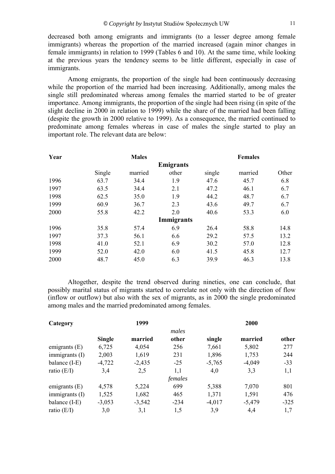decreased both among emigrants and immigrants (to a lesser degree among female immigrants) whereas the proportion of the married increased (again minor changes in female immigrants) in relation to 1999 (Tables 6 and 10). At the same time, while looking at the previous years the tendency seems to be little different, especially in case of immigrants.

Among emigrants, the proportion of the single had been continuously decreasing while the proportion of the married had been increasing. Additionally, among males the single still predominated whereas among females the married started to be of greater importance. Among immigrants, the proportion of the single had been rising (in spite of the slight decline in 2000 in relation to 1999) while the share of the married had been falling (despite the growth in 2000 relative to 1999). As a consequence, the married continued to predominate among females whereas in case of males the single started to play an important role. The relevant data are below:

| Year |        | <b>Males</b> |                   |        | <b>Females</b> |       |
|------|--------|--------------|-------------------|--------|----------------|-------|
|      |        |              | <b>Emigrants</b>  |        |                |       |
|      | Single | married      | other             | single | married        | Other |
| 1996 | 63.7   | 34.4         | 1.9               | 47.6   | 45.7           | 6.8   |
| 1997 | 63.5   | 34.4         | 2.1               | 47.2   | 46.1           | 6.7   |
| 1998 | 62.5   | 35.0         | 1.9               | 44.2   | 48.7           | 6.7   |
| 1999 | 60.9   | 36.7         | 2.3               | 43.6   | 49.7           | 6.7   |
| 2000 | 55.8   | 42.2         | 2.0               | 40.6   | 53.3           | 6.0   |
|      |        |              | <b>Immigrants</b> |        |                |       |
| 1996 | 35.8   | 57.4         | 6.9               | 26.4   | 58.8           | 14.8  |
| 1997 | 37.3   | 56.1         | 6.6               | 29.2   | 57.5           | 13.2  |
| 1998 | 41.0   | 52.1         | 6.9               | 30.2   | 57.0           | 12.8  |
| 1999 | 52.0   | 42.0         | 6.0               | 41.5   | 45.8           | 12.7  |
| 2000 | 48.7   | 45.0         | 6.3               | 39.9   | 46.3           | 13.8  |

Altogether, despite the trend observed during nineties, one can conclude, that possibly marital status of migrants started to correlate not only with the direction of flow (inflow or outflow) but also with the sex of migrants, as in 2000 the single predominated among males and the married predominated among females.

| Category        |               | 1999     |         |          | 2000     |        |
|-----------------|---------------|----------|---------|----------|----------|--------|
|                 |               |          | males   |          |          |        |
|                 | <b>Single</b> | married  | other   | single   | married  | other  |
| emigrants $(E)$ | 6,725         | 4,054    | 256     | 7,661    | 5,802    | 277    |
| immigrants (I)  | 2,003         | 1,619    | 231     | 1,896    | 1,753    | 244    |
| balance $(I-E)$ | $-4,722$      | $-2,435$ | $-25$   | $-5,765$ | $-4,049$ | $-33$  |
| ratio $(E/I)$   | 3,4           | 2,5      | 1,1     | 4,0      | 3,3      | 1,1    |
|                 |               |          | females |          |          |        |
| emigrants $(E)$ | 4,578         | 5,224    | 699     | 5,388    | 7,070    | 801    |
| immigrams (I)   | 1,525         | 1,682    | 465     | 1,371    | 1,591    | 476    |
| balance $(I-E)$ | $-3,053$      | $-3,542$ | $-234$  | $-4,017$ | $-5,479$ | $-325$ |
| ratio $(E/I)$   | 3,0           | 3,1      | 1,5     | 3,9      | 4,4      | 1,7    |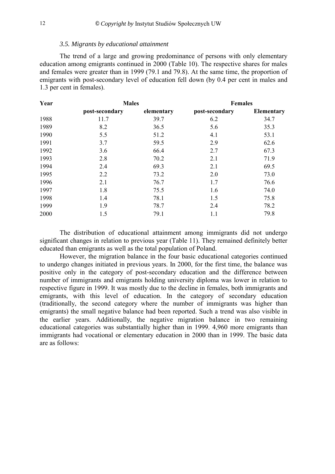#### *3.5. Migrants by educational attainment*

<span id="page-11-0"></span>The trend of a large and growing predominance of persons with only elementary education among emigrants continued in 2000 (Table 10). The respective shares for males and females were greater than in 1999 (79.1 and 79.8). At the same time, the proportion of emigrants with post-secondary level of education fell down (by 0.4 per cent in males and 1.3 per cent in females).

| Year | <b>Males</b>   |            | <b>Females</b> |                   |  |
|------|----------------|------------|----------------|-------------------|--|
|      | post-secondary | elementary | post-secondary | <b>Elementary</b> |  |
| 1988 | 11.7           | 39.7       | 6.2            | 34.7              |  |
| 1989 | 8.2            | 36.5       | 5.6            | 35.3              |  |
| 1990 | 5.5            | 51.2       | 4.1            | 53.1              |  |
| 1991 | 3.7            | 59.5       | 2.9            | 62.6              |  |
| 1992 | 3.6            | 66.4       | 2.7            | 67.3              |  |
| 1993 | 2.8            | 70.2       | 2.1            | 71.9              |  |
| 1994 | 2.4            | 69.3       | 2.1            | 69.5              |  |
| 1995 | 2.2            | 73.2       | 2.0            | 73.0              |  |
| 1996 | 2.1            | 76.7       | 1.7            | 76.6              |  |
| 1997 | 1.8            | 75.5       | 1.6            | 74.0              |  |
| 1998 | 1.4            | 78.1       | 1.5            | 75.8              |  |
| 1999 | 1.9            | 78.7       | 2.4            | 78.2              |  |
| 2000 | 1.5            | 79.1       | 1.1            | 79.8              |  |

The distribution of educational attainment among immigrants did not undergo significant changes in relation to previous year (Table 11). They remained definitely better educated than emigrants as well as the total population of Poland.

However, the migration balance in the four basic educational categories continued to undergo changes initiated in previous years. In 2000, for the first time, the balance was positive only in the category of post-secondary education and the difference between number of immigrants and emigrants holding university diploma was lower in relation to respective figure in 1999. It was mostly due to the decline in females, both immigrants and emigrants, with this level of education. In the category of secondary education (traditionally, the second category where the number of immigrants was higher than emigrants) the small negative balance had been reported. Such a trend was also visible in the earlier years. Additionally, the negative migration balance in two remaining educational categories was substantially higher than in 1999. 4,960 more emigrants than immigrants had vocational or elementary education in 2000 than in 1999. The basic data are as follows: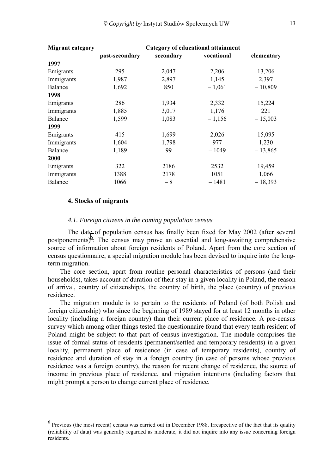<span id="page-12-0"></span>

| <b>Migrant category</b> | Category of educational attainment |           |            |            |  |  |
|-------------------------|------------------------------------|-----------|------------|------------|--|--|
|                         | post-secondary                     | secondary | vocational | elementary |  |  |
| 1997                    |                                    |           |            |            |  |  |
| Emigrants               | 295                                | 2,047     | 2,206      | 13,206     |  |  |
| Immigrants              | 1,987                              | 2,897     | 1,145      | 2,397      |  |  |
| <b>Balance</b>          | 1,692                              | 850       | $-1,061$   | $-10,809$  |  |  |
| 1998                    |                                    |           |            |            |  |  |
| Emigrants               | 286                                | 1,934     | 2,332      | 15,224     |  |  |
| Immigrants              | 1,885                              | 3,017     | 1,176      | 221        |  |  |
| <b>Balance</b>          | 1,599                              | 1,083     | $-1,156$   | $-15,003$  |  |  |
| 1999                    |                                    |           |            |            |  |  |
| Emigrants               | 415                                | 1,699     | 2,026      | 15,095     |  |  |
| Immigrants              | 1,604                              | 1,798     | 977        | 1,230      |  |  |
| <b>Balance</b>          | 1,189                              | 99        | $-1049$    | $-13,865$  |  |  |
| 2000                    |                                    |           |            |            |  |  |
| Emigrants               | 322                                | 2186      | 2532       | 19,459     |  |  |
| Immigrants              | 1388                               | 2178      | 1051       | 1,066      |  |  |
| Balance                 | 1066                               | - 8       | $-1481$    | $-18,393$  |  |  |

#### **4. Stocks of migrants**

l

#### *4.1. Foreign citizens in the coming population census*

The date of population census has finally been fixed for May 2002 (after several postponements)<sup>6</sup>. The census may prove an essential and long-awaiting comprehensive source of information about foreign residents of Poland. Apart from the core section of census questionnaire, a special migration module has been devised to inquire into the longterm migration.

The core section, apart from routine personal characteristics of persons (and their households), takes account of duration of their stay in a given locality in Poland, the reason of arrival, country of citizenship/s, the country of birth, the place (country) of previous residence.

The migration module is to pertain to the residents of Poland (of both Polish and foreign citizenship) who since the beginning of 1989 stayed for at least 12 months in other locality (including a foreign country) than their current place of residence. A pre-census survey which among other things tested the questionnaire found that every tenth resident of Poland might be subject to that part of census investigation. The module comprises the issue of formal status of residents (permanent/settled and temporary residents) in a given locality, permanent place of residence (in case of temporary residents), country of residence and duration of stay in a foreign country (in case of persons whose previous residence was a foreign country), the reason for recent change of residence, the source of income in previous place of residence, and migration intentions (including factors that might prompt a person to change current place of residence.

<sup>&</sup>lt;sup>6</sup> Previous (the most recent) census was carried out in December 1988. Irrespective of the fact that its quality (reliability of data) was generally regarded as moderate, it did not inquire into any issue concerning foreign residents.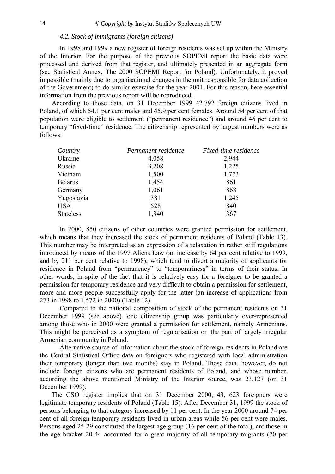#### *4.2. Stock of immigrants (foreign citizens)*

<span id="page-13-0"></span>In 1998 and 1999 a new register of foreign residents was set up within the Ministry of the Interior. For the purpose of the previous SOPEMI report the basic data were processed and derived from that register, and ultimately presented in an aggregate form (see Statistical Annex, The 2000 SOPEMI Report for Poland). Unfortunately, it proved impossible (mainly due to organisational changes in the unit responsible for data collection of the Government) to do similar exercise for the year 2001. For this reason, here essential information from the previous report will be reproduced.

According to those data, on 31 December 1999 42,792 foreign citizens lived in Poland, of which 54.1 per cent males and 45.9 per cent females. Around 54 per cent of that population were eligible to settlement ("permanent residence") and around 46 per cent to temporary "fixed-time" residence. The citizenship represented by largest numbers were as follows:

| Country          | Permanent residence | Fixed-time residence |
|------------------|---------------------|----------------------|
| Ukraine          | 4,058               | 2,944                |
| Russia           | 3,208               | 1,225                |
| Vietnam          | 1,500               | 1,773                |
| <b>Belarus</b>   | 1,454               | 861                  |
| Germany          | 1,061               | 868                  |
| Yugoslavia       | 381                 | 1,245                |
| <b>USA</b>       | 528                 | 840                  |
| <b>Stateless</b> | 1,340               | 367                  |

 In 2000, 850 citizens of other countries were granted permission for settlement, which means that they increased the stock of permanent residents of Poland (Table 13). This number may be interpreted as an expression of a relaxation in rather stiff regulations introduced by means of the 1997 Aliens Law (an increase by 64 per cent relative to 1999, and by 211 per cent relative to 1998), which tend to divert a majority of applicants for residence in Poland from "permanency" to "temporariness" in terms of their status. In other words, in spite of the fact that it is relatively easy for a foreigner to be granted a permission for temporary residence and very difficult to obtain a permission for settlement, more and more people successfully apply for the latter (an increase of applications from 273 in 1998 to 1,572 in 2000) (Table 12).

 Compared to the national composition of stock of the permanent residents on 31 December 1999 (see above), one citizenship group was particularly over-represented among those who in 2000 were granted a permission for settlement, namely Armenians. This might be perceived as a symptom of regularisation on the part of largely irregular Armenian community in Poland.

 Alternative source of information about the stock of foreign residents in Poland are the Central Statistical Office data on foreigners who registered with local administration their temporary (longer than two months) stay in Poland. Those data, however, do not include foreign citizens who are permanent residents of Poland, and whose number, according the above mentioned Ministry of the Interior source, was 23,127 (on 31 December 1999).

The CSO register implies that on 31 December 2000, 43, 623 foreigners were legitimate temporary residents of Poland (Table 15). After December 31, 1999 the stock of persons belonging to that category increased by 11 per cent. In the year 2000 around 74 per cent of all foreign temporary residents lived in urban areas while 56 per cent were males. Persons aged 25-29 constituted the largest age group (16 per cent of the total), ant those in the age bracket 20-44 accounted for a great majority of all temporary migrants (70 per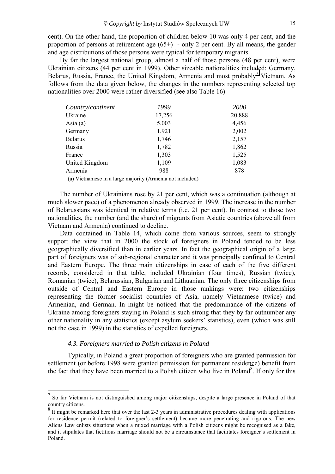<span id="page-14-0"></span>cent). On the other hand, the proportion of children below 10 was only 4 per cent, and the proportion of persons at retirement age  $(65+)$  - only 2 per cent. By all means, the gender and age distributions of those persons were typical for temporary migrants.

By far the largest national group, almost a half of those persons (48 per cent), were Ukrainian citizens (44 per cent in 1999). Other sizeable nationalities included: Germany, Belarus, Russia, France, the United Kingdom, Armenia and most probably<sup>7</sup> Vietnam. As follows from the data given below, the changes in the numbers representing selected top nationalities over 2000 were rather diversified (see also Table 16)

| Country/continent | 1999   | 2000   |
|-------------------|--------|--------|
| Ukraine           | 17,256 | 20,888 |
| Asia $(a)$        | 5,003  | 4,456  |
| Germany           | 1,921  | 2,002  |
| <b>Belarus</b>    | 1,746  | 2,157  |
| Russia            | 1,782  | 1,862  |
| France            | 1,303  | 1,525  |
| United Kingdom    | 1,109  | 1,083  |
| Armenia           | 988    | 878    |
|                   |        |        |

(a) Vietnamese in a large majority (Armenia not included)

The number of Ukrainians rose by 21 per cent, which was a continuation (although at much slower pace) of a phenomenon already observed in 1999. The increase in the number of Belarussians was identical in relative terms (i.e. 21 per cent). In contrast to those two nationalities, the number (and the share) of migrants from Asiatic countries (above all from Vietnam and Armenia) continued to decline.

Data contained in Table 14, which come from various sources, seem to strongly support the view that in 2000 the stock of foreigners in Poland tended to be less geographically diversified than in earlier years. In fact the geographical origin of a large part of foreigners was of sub-regional character and it was principally confined to Central and Eastern Europe. The three main citizenships in case of each of the five different records, considered in that table, included Ukrainian (four times), Russian (twice), Romanian (twice), Belarussian, Bulgarian and Lithuanian. The only three citizenships from outside of Central and Eastern Europe in those rankings were: two citizenships representing the former socialist countries of Asia, namely Vietnamese (twice) and Armenian, and German. In might be noticed that the predominance of the citizens of Ukraine among foreigners staying in Poland is such strong that they by far outnumber any other nationality in any statistics (except asylum seekers' statistics), even (which was still not the case in 1999) in the statistics of expelled foreigners.

#### *4.3. Foreigners married to Polish citizens in Poland*

l

Typically, in Poland a great proportion of foreigners who are granted permission for settlement (or before 1998 were granted permission for permanent residence) benefit from the fact that they have been married to a Polish citizen who live in Poland<sup>8</sup>. If only for this

 $<sup>7</sup>$  So far Vietnam is not distinguished among major citizenships, despite a large presence in Poland of that</sup> country citizens.

<sup>&</sup>lt;sup>8</sup> It might be remarked here that over the last 2-3 years in administrative procedures dealing with applications for residence permit (related to foreigner's settlement) became more penetrating and rigorous. The new Aliens Law enlists situations when a mixed marriage with a Polish citizens might be recognised as a fake, and it stipulates that fictitious marriage should not be a circumstance that facilitates foreigner's settlement in Poland.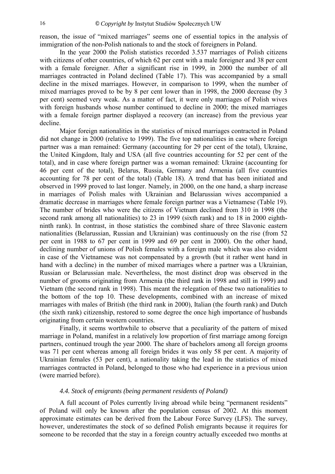<span id="page-15-0"></span>reason, the issue of "mixed marriages" seems one of essential topics in the analysis of immigration of the non-Polish nationals to and the stock of foreigners in Poland.

In the year 2000 the Polish statistics recorded 3.537 marriages of Polish citizens with citizens of other countries, of which 62 per cent with a male foreigner and 38 per cent with a female foreigner. After a significant rise in 1999, in 2000 the number of all marriages contracted in Poland declined (Table 17). This was accompanied by a small decline in the mixed marriages. However, in comparison to 1999, when the number of mixed marriages proved to be by 8 per cent lower than in 1998, the 2000 decrease (by 3 per cent) seemed very weak. As a matter of fact, it were only marriages of Polish wives with foreign husbands whose number continued to decline in 2000; the mixed marriages with a female foreign partner displayed a recovery (an increase) from the previous year decline.

Major foreign nationalities in the statistics of mixed marriages contracted in Poland did not change in 2000 (relative to 1999). The five top nationalities in case where foreign partner was a man remained: Germany (accounting for 29 per cent of the total), Ukraine, the United Kingdom, Italy and USA (all five countries accounting for 52 per cent of the total), and in case where foreign partner was a woman remained: Ukraine (accounting for 46 per cent of the total), Belarus, Russia, Germany and Armenia (all five countries accounting for 78 per cent of the total) (Table 18). A trend that has been initiated and observed in 1999 proved to last longer. Namely, in 2000, on the one hand, a sharp increase in marriages of Polish males with Ukrainian and Belarussian wives accompanied a dramatic decrease in marriages where female foreign partner was a Vietnamese (Table 19). The number of brides who were the citizens of Vietnam declined from 310 in 1998 (the second rank among all nationalities) to 23 in 1999 (sixth rank) and to 18 in 2000 eighthninth rank). In contrast, in those statistics the combined share of three Slavonic eastern nationalities (Belarussian, Russian and Ukrainian) was continuously on the rise (from 52 per cent in 1988 to 67 per cent in 1999 and 69 per cent in 2000). On the other hand, declining number of unions of Polish females with a foreign male which was also evident in case of the Vietnamese was not compensated by a growth (but it rather went hand in hand with a decline) in the number of mixed marriages where a partner was a Ukrainian, Russian or Belarussian male. Nevertheless, the most distinct drop was observed in the number of grooms originating from Armenia (the third rank in 1998 and still in 1999) and Vietnam (the second rank in 1998). This meant the relegation of these two nationalities to the bottom of the top 10. These developments, combined with an increase of mixed marriages with males of British (the third rank in 2000), Italian (the fourth rank) and Dutch (the sixth rank) citizenship, restored to some degree the once high importance of husbands originating from certain western countries.

Finally, it seems worthwhile to observe that a peculiarity of the pattern of mixed marriage in Poland, manifest in a relatively low proportion of first marriage among foreign partners, continued trough the year 2000. The share of bachelors among all foreign grooms was 71 per cent whereas among all foreign brides it was only 58 per cent. A majority of Ukrainian females (53 per cent), a nationality taking the lead in the statistics of mixed marriages contracted in Poland, belonged to those who had experience in a previous union (were married before).

#### *4.4. Stock of emigrants (being permanent residents of Poland)*

A full account of Poles currently living abroad while being "permanent residents" of Poland will only be known after the population census of 2002. At this moment approximate estimates can be derived from the Labour Force Survey (LFS). The survey, however, underestimates the stock of so defined Polish emigrants because it requires for someone to be recorded that the stay in a foreign country actually exceeded two months at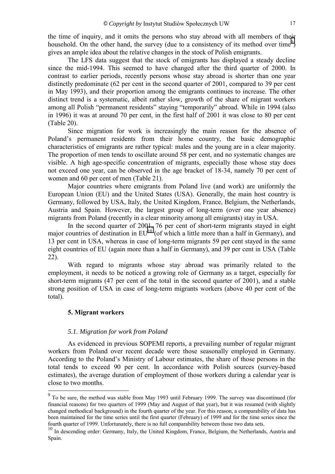<span id="page-16-0"></span>the time of inquiry, and it omits the persons who stay abroad with all members of their household. On the other hand, the survey (due to a consistency of its method over time<sup>9</sup>) gives an ample idea about the relative changes in the stock of Polish emigrants.

The LFS data suggest that the stock of emigrants has displayed a steady decline since the mid-1994. This seemed to have changed after the third quarter of 2000. In contrast to earlier periods, recently persons whose stay abroad is shorter than one year distinctly predominate (62 per cent in the second quarter of 2001, compared to 39 per cent in May 1993), and their proportion among the emigrants continues to increase. The other distinct trend is a systematic, albeit rather slow, growth of the share of migrant workers among all Polish "permanent residents" staying "temporarily" abroad. While in 1994 (also in 1996) it was at around 70 per cent, in the first half of 2001 it was close to 80 per cent (Table 20).

Since migration for work is increasingly the main reason for the absence of Poland's permanent residents from their home country, the basic demographic characteristics of emigrants are rather typical: males and the young are in a clear majority. The proportion of men tends to oscillate around 58 per cent, and no systematic changes are visible. A high age-specific concentration of migrants, especially those whose stay does not exceed one year, can be observed in the age bracket of 18-34, namely 70 per cent of women and 60 per cent of men (Table 21).

Major countries where emigrants from Poland live (and work) are uniformly the European Union (EU) and the United States (USA). Generally, the main host country is Germany, followed by USA, Italy, the United Kingdom, France, Belgium, the Netherlands, Austria and Spain. However, the largest group of long-term (over one year absence) migrants from Poland (recently in a clear minority among all emigrants) stay in USA.

In the second quarter of 2001, 76 per cent of short-term migrants stayed in eight major countries of destination in  $EU^{10}$  (of which a little more than a half in Germany), and 13 per cent in USA, whereas in case of long-term migrants 59 per cent stayed in the same eight countries of EU (again more than a half in Germany), and 39 per cent in USA (Table 22).

With regard to migrants whose stay abroad was primarily related to the employment, it needs to be noticed a growing role of Germany as a target, especially for short-term migrants (47 per cent of the total in the second quarter of 2001), and a stable strong position of USA in case of long-term migrants workers (above 40 per cent of the total).

#### **5. Migrant workers**

#### *5.1. Migration for work from Poland*

As evidenced in previous SOPEMI reports, a prevailing number of regular migrant workers from Poland over recent decade were those seasonally employed in Germany. According to the Poland's Ministry of Labour estimates, the share of those persons in the total tends to exceed 90 per cent. In accordance with Polish sources (survey-based estimates), the average duration of employment of those workers during a calendar year is close to two months.

<sup>&</sup>lt;sup>9</sup> To be sure, the method was stable from May 1993 until February 1999. The survey was discontinued (for financial reasons) for two quarters of 1999 (May and August of that year), but it was resumed (with slightly changed methodical background) in the fourth quarter of the year. For this reason, a comparability of data has been maintained for the time series until the first quarter (February) of 1999 and for the time series since the fourth quarter of 1999. Unfortunately, there is no full comparability between those two data sets.

<sup>&</sup>lt;sup>10</sup> In descending order: Germany, Italy, the United Kingdom, France, Belgium, the Netherlands, Austria and Spain.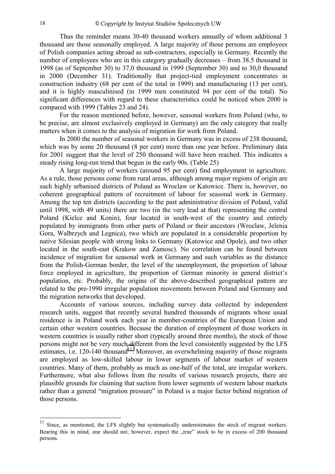Thus the reminder means 30-40 thousand workers annually of whom additional 3 thousand are those seasonally employed. A large majority of those persons are employees of Polish companies acting abroad as sub-contractors, especially in Germany. Recently the number of employees who are in this category gradually decreases – from 38.5 thousand in 1998 (as of September 30) to 37,0 thousand in 1999 (September 30) and to 30,0 thousand in 2000 (December 31). Traditionally that project-tied employment concentrates in construction industry (68 per cent of the total in 1999) and manufacturing (13 per cent), and it is highly masculinised (in 1999 men constituted 94 per cent of the total). No significant differences with regard to these characteristics could be noticed when 2000 is compared with 1999 (Tables 23 and 24).

For the reason mentioned before, however, seasonal workers from Poland (who, to be precise, are almost exclusively employed in Germany) are the only category that really matters when it comes to the analysis of migration for work from Poland.

In 2000 the number of seasonal workers in Germany was in excess of 238 thousand, which was by some 20 thousand (8 per cent) more than one year before. Preliminary data for 2001 suggest that the level of 250 thousand will have been reached. This indicates a steady rising long-run trend that begun in the early 90s. (Table 25)

A large majority of workers (around 95 per cent) find employment in agriculture. As a rule, those persons come from rural areas, although among major regions of origin are such highly urbanised districts of Poland as Wroclaw or Katowice. There is, however, no coherent geographical pattern of recruitment of labour for seasonal work in Germany. Among the top ten districts (according to the past administrative division of Poland, valid until 1998, with 49 units) there are two (in the very lead at that) representing the central Poland (Kielce and Konin), four located in south-west of the country and entirely populated by immigrants from other parts of Poland or their ancestors (Wroclaw, Jelenia Gora, Walbrzych and Legnica), two which are populated in a considerable proportion by native Silesian people with strong links to Germany (Katowice and Opole), and two other located in the south-east (Krakow and Zamosc). No correlation can be found between incidence of migration for seasonal work in Germany and such variables as the distance from the Polish-German border, the level of the unemployment, the proportion of labour force employed in agriculture, the proportion of German minority in general district's population, etc. Probably, the origins of the above-described geographical pattern are related to the pre-1990 irregular population movements between Poland and Germany and the migration networks that developed.

Accounts of various sources, including survey data collected by independent research units, suggest that recently several hundred thousands of migrants whose usual residence is in Poland work each year in member-countries of the European Union and certain other western countries. Because the duration of employment of those workers in western countries is usually rather short (typically around three months), the stock of those persons might not be very much different from the level consistently suggested by the LFS estimates, i.e. 120-140 thousand<sup>11</sup>. Moreover, an overwhelming majority of those migrants are employed as low-skilled labour in lower segments of labour market of western countries. Many of them, probably as much as one-half of the total, are irregular workers. Furthermore, what also follows from the results of various research projects, there are plausible grounds for claiming that suction from lower segments of western labour markets rather than a general "migration pressure" in Poland is a major factor behind migration of those persons.

 $\overline{a}$ 

 $11$  Since, as mentioned, the LFS slightly but systematically underestimates the stock of migrant workers. Bearing this in mind, one should not, however, expect the "true" stock to be in excess of 200 thousand persons.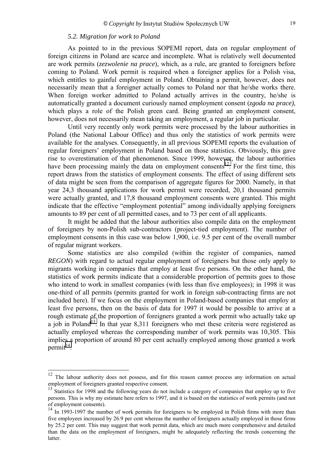#### *5.2. Migration for work to Poland*

<span id="page-18-0"></span>As pointed to in the previous SOPEMI report, data on regular employment of foreign citizens in Poland are scarce and incomplete. What is relatively well documented are work permits (*zezwolenie na prace*), which, as a rule, are granted to foreigners before coming to Poland. Work permit is required when a foreigner applies for a Polish visa, which entitles to gainful employment in Poland. Obtaining a permit, however, does not necessarily mean that a foreigner actually comes to Poland nor that he/she works there. When foreign worker admitted to Poland actually arrives in the country, he/she is automatically granted a document curiously named employment consent (*zgoda na prace)*, which plays a role of the Polish green card. Being granted an employment consent, however, does not necessarily mean taking an employment, a regular job in particular.

Until very recently only work permits were processed by the labour authorities in Poland (the National Labour Office) and thus only the statistics of work permits were available for the analyses. Consequently, in all previous SOPEMI reports the evaluation of regular foreigners' employment in Poland based on those statistics. Obviously, this gave rise to overestimation of that phenomenon. Since 1999, however, the labour authorities have been processing mainly the data on employment consents<sup>12</sup>. For the first time, this report draws from the statistics of employment consents. The effect of using different sets of data might be seen from the comparison of aggregate figures for 2000. Namely, in that year 24,3 thousand applications for work permit were recorded, 20,1 thousand permits were actually granted, and 17,8 thousand employment consents were granted. This might indicate that the effective "employment potential" among individually applying foreigners amounts to 89 per cent of all permitted cases, and to 73 per cent of all applicants.

It might be added that the labour authorities also compile data on the employment of foreigners by non-Polish sub-contractors (project-tied employment). The number of employment consents in this case was below 1,900, i.e. 9.5 per cent of the overall number of regular migrant workers.

Some statistics are also compiled (within the register of companies, named *REGON*) with regard to actual regular employment of foreigners but those only apply to migrants working in companies that employ at least five persons. On the other hand, the statistics of work permits indicate that a considerable proportion of permits goes to those who intend to work in smallest companies (with less than five employees); in 1998 it was one-third of all permits (permits granted for work in foreign sub-contracting firms are not included here). If we focus on the employment in Poland-based companies that employ at least five persons, then on the basis of data for 1997 it would be possible to arrive at a rough estimate of the proportion of foreigners granted a work permit who actually take up a job in Poland<sup>13</sup>. In that year 8,311 foreigners who met these criteria were registered as actually employed whereas the corresponding number of work permits was 10,305. This implies a proportion of around 80 per cent actually employed among those granted a work  $permit^{14}$ .

<sup>&</sup>lt;sup>12</sup> The labour authority does not possess, and for this reason cannot process any information on actual employment of foreigners granted respective consent.<br><sup>13</sup> Statistics for 1998 and the following years do not include a category of companies that employ up to five

persons. This is why my estimate here refers to 1997, and it is based on the statistics of work permits (and not of employment consents).

<sup>&</sup>lt;sup>14</sup> In 1993-1997 the number of work permits for foreigners to be employed in Polish firms with more than five employees increased by 26.9 per cent whereas the number of foreigners actually employed in those firms by 25.2 per cent. This may suggest that work permit data, which are much more comprehensive and detailed than the data on the employment of foreigners, might be adequately reflecting the trends concerning the latter.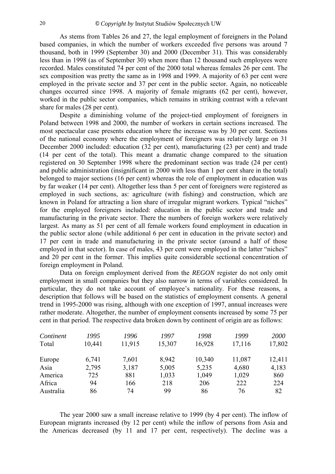As stems from Tables 26 and 27, the legal employment of foreigners in the Poland based companies, in which the number of workers exceeded five persons was around 7 thousand, both in 1999 (September 30) and 2000 (December 31). This was considerably less than in 1998 (as of September 30) when more than 12 thousand such employees were recorded. Males constituted 74 per cent of the 2000 total whereas females 26 per cent. The sex composition was pretty the same as in 1998 and 1999. A majority of 63 per cent were employed in the private sector and 37 per cent in the public sector. Again, no noticeable changes occurred since 1998. A majority of female migrants (62 per cent), however, worked in the public sector companies, which remains in striking contrast with a relevant share for males (28 per cent).

Despite a diminishing volume of the project-tied employment of foreigners in Poland between 1998 and 2000, the number of workers in certain sections increased. The most spectacular case presents education where the increase was by 30 per cent. Sections of the national economy where the employment of foreigners was relatively large on 31 December 2000 included: education (32 per cent), manufacturing (23 per cent) and trade (14 per cent of the total). This meant a dramatic change compared to the situation registered on 30 September 1998 where the predominant section was trade (24 per cent) and public administration (insignificant in 2000 with less than 1 per cent share in the total) belonged to major sections (16 per cent) whereas the role of employment in education was by far weaker (14 per cent). Altogether less than 5 per cent of foreigners were registered as employed in such sections, as: agriculture (with fishing) and construction, which are known in Poland for attracting a lion share of irregular migrant workers. Typical "niches" for the employed foreigners included: education in the public sector and trade and manufacturing in the private sector. There the numbers of foreign workers were relatively largest. As many as 51 per cent of all female workers found employment in education in the public sector alone (while additional 6 per cent in education in the private sector) and 17 per cent in trade and manufacturing in the private sector (around a half of those employed in that sector). In case of males, 43 per cent were employed in the latter "niches" and 20 per cent in the former. This implies quite considerable sectional concentration of foreign employment in Poland.

Data on foreign employment derived from the *REGON* register do not only omit employment in small companies but they also narrow in terms of variables considered. In particular, they do not take account of employee's nationality. For these reasons, a description that follows will be based on the statistics of employment consents. A general trend in 1995-2000 was rising, although with one exception of 1997, annual increases were rather moderate. Altogether, the number of employment consents increased by some 75 per cent in that period. The respective data broken down by continent of origin are as follows:

| Continent      | 1995   | 1996   | 1997   | 1998   | 1999   | 2000   |
|----------------|--------|--------|--------|--------|--------|--------|
| Total          | 10,441 | 11,915 | 15,307 | 16,928 | 17,116 | 17,802 |
|                | 6,741  | 7,601  | 8,942  | 10,340 | 11,087 | 12,411 |
| Europe<br>Asia | 2,795  | 3.187  | 5,005  | 5,235  | 4,680  | 4,183  |
| America        | 725    | 881    | 1,033  | 1,049  | 1,029  | 860    |
| Africa         | 94     | 166    | 218    | 206    | 222    | 224    |
| Australia      | 86     | 74     | 99     | 86     | 76     | 82     |

The year 2000 saw a small increase relative to 1999 (by 4 per cent). The inflow of European migrants increased (by 12 per cent) while the inflow of persons from Asia and the Americas decreased (by 11 and 17 per cent, respectively). The decline was a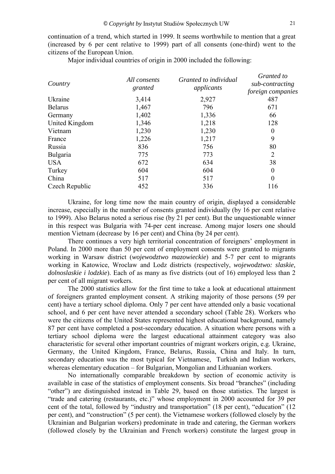continuation of a trend, which started in 1999. It seems worthwhile to mention that a great (increased by 6 per cent relative to 1999) part of all consents (one-third) went to the citizens of the European Union.

Major individual countries of origin in 2000 included the following:

| Country        | All consents<br>granted | Granted to individual<br>applicants | Granted to<br>sub-contracting<br>foreign companies |
|----------------|-------------------------|-------------------------------------|----------------------------------------------------|
| Ukraine        | 3,414                   | 2,927                               | 487                                                |
| <b>Belarus</b> | 1,467                   | 796                                 | 671                                                |
| Germany        | 1,402                   | 1,336                               | 66                                                 |
| United Kingdom | 1,346                   | 1,218                               | 128                                                |
| Vietnam        | 1,230                   | 1,230                               | $\theta$                                           |
| France         | 1,226                   | 1,217                               | 9                                                  |
| Russia         | 836                     | 756                                 | 80                                                 |
| Bulgaria       | 775                     | 773                                 | $\overline{2}$                                     |
| <b>USA</b>     | 672                     | 634                                 | 38                                                 |
| Turkey         | 604                     | 604                                 | $\theta$                                           |
| China          | 517                     | 517                                 | $\theta$                                           |
| Czech Republic | 452                     | 336                                 | 116                                                |

Ukraine, for long time now the main country of origin, displayed a considerable increase, especially in the number of consents granted individually (by 16 per cent relative to 1999). Also Belarus noted a serious rise (by 21 per cent). But the unquestionable winner in this respect was Bulgaria with 74-per cent increase. Among major losers one should mention Vietnam (decrease by 16 per cent) and China (by 24 per cent).

There continues a very high territorial concentration of foreigners' employment in Poland. In 2000 more than 50 per cent of employment consents were granted to migrants working in Warsaw district (*wojewodztwo mazowieckie*) and 5-7 per cent to migrants working in Katowice, Wroclaw and Lodz districts (respectively, *wojewodztwo: slaskie, dolnoslaskie i lodzkie*). Each of as many as five districts (out of 16) employed less than 2 per cent of all migrant workers.

The 2000 statistics allow for the first time to take a look at educational attainment of foreigners granted employment consent. A striking majority of those persons (59 per cent) have a tertiary school diploma. Only 7 per cent have attended only a basic vocational school, and 6 per cent have never attended a secondary school (Table 28). Workers who were the citizens of the United States represented highest educational background, namely 87 per cent have completed a post-secondary education. A situation where persons with a tertiary school diploma were the largest educational attainment category was also characteristic for several other important countries of migrant workers origin, e.g. Ukraine, Germany, the United Kingdom, France, Belarus, Russia, China and Italy. In turn, secondary education was the most typical for Vietnamese, Turkish and Indian workers, whereas elementary education – for Bulgarian, Mongolian and Lithuanian workers.

No internationally comparable breakdown by section of economic activity is available in case of the statistics of employment consents. Six broad "branches" (including "other") are distinguished instead in Table 29, based on those statistics. The largest is ìtrade and catering (restaurants, etc.)î whose employment in 2000 accounted for 39 per cent of the total, followed by "industry and transportation" (18 per cent), "education" (12 per cent), and "construction" (5 per cent). the Vietnamese workers (followed closely by the Ukrainian and Bulgarian workers) predominate in trade and catering, the German workers (followed closely by the Ukrainian and French workers) constitute the largest group in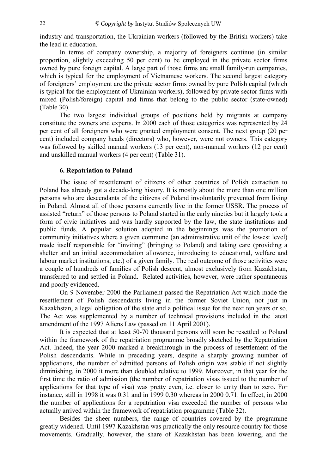<span id="page-21-0"></span>industry and transportation, the Ukrainian workers (followed by the British workers) take the lead in education.

In terms of company ownership, a majority of foreigners continue (in similar proportion, slightly exceeding 50 per cent) to be employed in the private sector firms owned by pure foreign capital. A large part of those firms are small family-run companies, which is typical for the employment of Vietnamese workers. The second largest category of foreigners' employment are the private sector firms owned by pure Polish capital (which is typical for the employment of Ukrainian workers), followed by private sector firms with mixed (Polish/foreign) capital and firms that belong to the public sector (state-owned) (Table 30).

The two largest individual groups of positions held by migrants at company constitute the owners and experts. In 2000 each of those categories was represented by 24 per cent of all foreigners who were granted employment consent. The next group (20 per cent) included company heads (directors) who, however, were not owners. This category was followed by skilled manual workers (13 per cent), non-manual workers (12 per cent) and unskilled manual workers (4 per cent) (Table 31).

#### **6. Repatriation to Poland**

The issue of resettlement of citizens of other countries of Polish extraction to Poland has already got a decade-long history. It is mostly about the more than one million persons who are descendants of the citizens of Poland involuntarily prevented from living in Poland. Almost all of those persons currently live in the former USSR. The process of assisted "return" of those persons to Poland started in the early nineties but it largely took a form of civic initiatives and was hardly supported by the law, the state institutions and public funds. A popular solution adopted in the beginnings was the promotion of community initiatives where a given commune (an administrative unit of the lowest level) made itself responsible for "inviting" (bringing to Poland) and taking care (providing a shelter and an initial accommodation allowance, introducing to educational, welfare and labour market institutions, etc.) of a given family. The real outcome of those activities were a couple of hundreds of families of Polish descent, almost exclusively from Kazakhstan, transferred to and settled in Poland. Related activities, however, were rather spontaneous and poorly evidenced.

On 9 November 2000 the Parliament passed the Repatriation Act which made the resettlement of Polish descendants living in the former Soviet Union, not just in Kazakhstan, a legal obligation of the state and a political issue for the next ten years or so. The Act was supplemented by a number of technical provisions included in the latest amendment of the 1997 Aliens Law (passed on 11 April 2001).

It is expected that at least 50-70 thousand persons will soon be resettled to Poland within the framework of the repatriation programme broadly sketched by the Repatriation Act. Indeed, the year 2000 marked a breakthrough in the process of resettlement of the Polish descendants. While in preceding years, despite a sharply growing number of applications, the number of admitted persons of Polish origin was stable if not slightly diminishing, in 2000 it more than doubled relative to 1999. Moreover, in that year for the first time the ratio of admission (the number of repatriation visas issued to the number of applications for that type of visa) was pretty even, i.e. closer to unity than to zero. For instance, still in 1998 it was 0.31 and in 1999 0.30 whereas in 2000 0.71. In effect, in 2000 the number of applications for a repatriation visa exceeded the number of persons who actually arrived within the framework of repatriation programme (Table 32).

Besides the sheer numbers, the range of countries covered by the programme greatly widened. Until 1997 Kazakhstan was practically the only resource country for those movements. Gradually, however, the share of Kazakhstan has been lowering, and the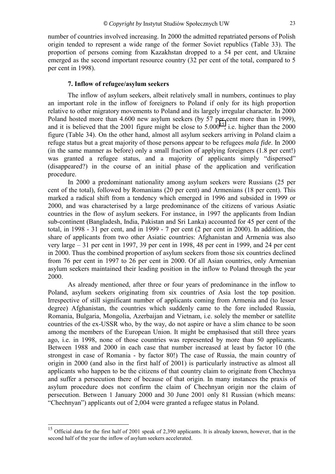<span id="page-22-0"></span>number of countries involved increasing. In 2000 the admitted repatriated persons of Polish origin tended to represent a wide range of the former Soviet republics (Table 33). The proportion of persons coming from Kazakhstan dropped to a 54 per cent, and Ukraine emerged as the second important resource country (32 per cent of the total, compared to 5 per cent in 1998).

#### **7. Inflow of refugee/asylum seekers**

The inflow of asylum seekers, albeit relatively small in numbers, continues to play an important role in the inflow of foreigners to Poland if only for its high proportion relative to other migratory movements to Poland and its largely irregular character. In 2000 Poland hosted more than 4.600 new asylum seekers (by 57 per cent more than in 1999), and it is believed that the 2001 figure might be close to  $5.000^{15}$ , i.e. higher than the 2000 figure (Table 34). On the other hand, almost all asylum seekers arriving in Poland claim a refuge status but a great majority of those persons appear to be refugees *mala fide*. In 2000 (in the same manner as before) only a small fraction of applying foreigners (1.8 per cent!) was granted a refugee status, and a majority of applicants simply "dispersed" (disappeared?) in the course of an initial phase of the application and verification procedure.

In 2000 a predominant nationality among asylum seekers were Russians (25 per cent of the total), followed by Romanians (20 per cent) and Armenians (18 per cent). This marked a radical shift from a tendency which emerged in 1996 and subsided in 1999 or 2000, and was characterised by a large predominance of the citizens of various Asiatic countries in the flow of asylum seekers. For instance, in 1997 the applicants from Indian sub-continent (Bangladesh, India, Pakistan and Sri Lanka) accounted for 45 per cent of the total, in 1998 - 31 per cent, and in 1999 - 7 per cent (2 per cent in 2000). In addition, the share of applicants from two other Asiatic countries: Afghanistan and Armenia was also very large  $-31$  per cent in 1997, 39 per cent in 1998, 48 per cent in 1999, and 24 per cent in 2000. Thus the combined proportion of asylum seekers from those six countries declined from 76 per cent in 1997 to 26 per cent in 2000. Of all Asian countries, only Armenian asylum seekers maintained their leading position in the inflow to Poland through the year 2000.

As already mentioned, after three or four years of predominance in the inflow to Poland, asylum seekers originating from six countries of Asia lost the top position. Irrespective of still significant number of applicants coming from Armenia and (to lesser degree) Afghanistan, the countries which suddenly came to the fore included Russia, Romania, Bulgaria, Mongolia, Azerbaijan and Vietnam, i.e. solely the member or satellite countries of the ex-USSR who, by the way, do not aspire or have a slim chance to be soon among the members of the European Union. It might be emphasised that still three years ago, i.e. in 1998, none of those countries was represented by more than 50 applicants. Between 1988 and 2000 in each case that number increased at least by factor 10 (the strongest in case of Romania - by factor 80!) The case of Russia, the main country of origin in 2000 (and also in the first half of 2001) is particularly instructive as almost all applicants who happen to be the citizens of that country claim to originate from Chechnya and suffer a persecution there of because of that origin. In many instances the praxis of asylum procedure does not confirm the claim of Chechnyan origin nor the claim of persecution. Between 1 January 2000 and 30 June 2001 only 81 Russian (which means: ìChechnyanî) applicants out of 2,004 were granted a refugee status in Poland.

 $\frac{1}{15}$  Official data for the first half of 2001 speak of 2,390 applicants. It is already known, however, that in the second half of the year the inflow of asylum seekers accelerated.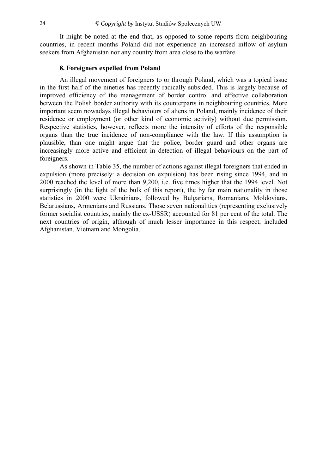<span id="page-23-0"></span>It might be noted at the end that, as opposed to some reports from neighbouring countries, in recent months Poland did not experience an increased inflow of asylum seekers from Afghanistan nor any country from area close to the warfare.

#### **8. Foreigners expelled from Poland**

An illegal movement of foreigners to or through Poland, which was a topical issue in the first half of the nineties has recently radically subsided. This is largely because of improved efficiency of the management of border control and effective collaboration between the Polish border authority with its counterparts in neighbouring countries. More important seem nowadays illegal behaviours of aliens in Poland, mainly incidence of their residence or employment (or other kind of economic activity) without due permission. Respective statistics, however, reflects more the intensity of efforts of the responsible organs than the true incidence of non-compliance with the law. If this assumption is plausible, than one might argue that the police, border guard and other organs are increasingly more active and efficient in detection of illegal behaviours on the part of foreigners.

As shown in Table 35, the number of actions against illegal foreigners that ended in expulsion (more precisely: a decision on expulsion) has been rising since 1994, and in 2000 reached the level of more than 9,200, i.e. five times higher that the 1994 level. Not surprisingly (in the light of the bulk of this report), the by far main nationality in those statistics in 2000 were Ukrainians, followed by Bulgarians, Romanians, Moldovians, Belarussians, Armenians and Russians. Those seven nationalities (representing exclusively former socialist countries, mainly the ex-USSR) accounted for 81 per cent of the total. The next countries of origin, although of much lesser importance in this respect, included Afghanistan, Vietnam and Mongolia.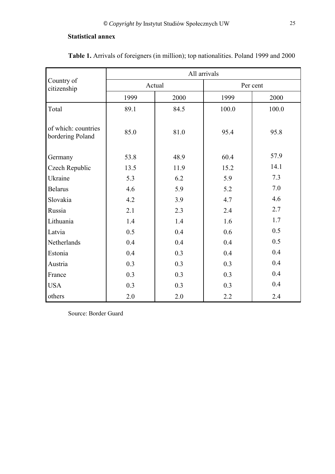### <span id="page-24-0"></span>**Statistical annex**

|                                         | All arrivals |        |          |       |  |  |  |
|-----------------------------------------|--------------|--------|----------|-------|--|--|--|
| Country of<br>citizenship               |              | Actual | Per cent |       |  |  |  |
|                                         | 1999         | 2000   | 1999     | 2000  |  |  |  |
| Total                                   | 89.1         | 84.5   | 100.0    | 100.0 |  |  |  |
| of which: countries<br>bordering Poland | 85.0         | 81.0   | 95.4     | 95.8  |  |  |  |
| Germany                                 | 53.8         | 48.9   | 60.4     | 57.9  |  |  |  |
| Czech Republic                          | 13.5         | 11.9   | 15.2     | 14.1  |  |  |  |
| Ukraine                                 | 5.3          | 6.2    | 5.9      | 7.3   |  |  |  |
| <b>Belarus</b>                          | 4.6          | 5.9    | 5.2      | 7.0   |  |  |  |
| Slovakia                                | 4.2          | 3.9    | 4.7      | 4.6   |  |  |  |
| Russia                                  | 2.1          | 2.3    | 2.4      | 2.7   |  |  |  |
| Lithuania                               | 1.4          | 1.4    | 1.6      | 1.7   |  |  |  |
| Latvia                                  | 0.5          | 0.4    | 0.6      | 0.5   |  |  |  |
| Netherlands                             | 0.4          | 0.4    | 0.4      | 0.5   |  |  |  |
| Estonia                                 | 0.4          | 0.3    | 0.4      | 0.4   |  |  |  |
| Austria                                 | 0.3          | 0.3    | 0.3      | 0.4   |  |  |  |
| France                                  | 0.3          | 0.3    | 0.3      | 0.4   |  |  |  |
| <b>USA</b>                              | 0.3          | 0.3    | 0.3      | 0.4   |  |  |  |
| others                                  | 2.0          | 2.0    | 2.2      | 2.4   |  |  |  |

**Table 1.** Arrivals of foreigners (in million); top nationalities. Poland 1999 and 2000

Source: Border Guard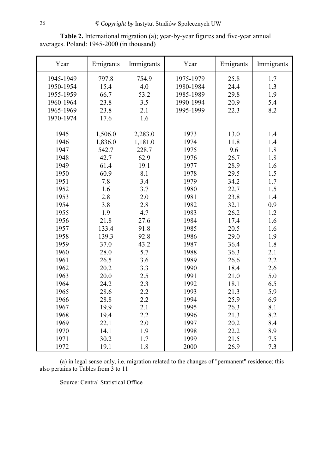| Year      | Emigrants | Immigrants | Year      | Emigrants | Immigrants |
|-----------|-----------|------------|-----------|-----------|------------|
| 1945-1949 | 797.8     | 754.9      | 1975-1979 | 25.8      | 1.7        |
| 1950-1954 | 15.4      | 4.0        | 1980-1984 | 24.4      | 1.3        |
| 1955-1959 | 66.7      | 53.2       | 1985-1989 | 29.8      | 1.9        |
| 1960-1964 | 23.8      | 3.5        | 1990-1994 | 20.9      | 5.4        |
| 1965-1969 | 23.8      | 2.1        | 1995-1999 | 22.3      | 8.2        |
| 1970-1974 | 17.6      | 1.6        |           |           |            |
|           |           |            |           |           |            |
| 1945      | 1,506.0   | 2,283.0    | 1973      | 13.0      | 1.4        |
| 1946      | 1,836.0   | 1,181.0    | 1974      | 11.8      | 1.4        |
| 1947      | 542.7     | 228.7      | 1975      | 9.6       | 1.8        |
| 1948      | 42.7      | 62.9       | 1976      | 26.7      | 1.8        |
| 1949      | 61.4      | 19.1       | 1977      | 28.9      | 1.6        |
| 1950      | 60.9      | 8.1        | 1978      | 29.5      | 1.5        |
| 1951      | 7.8       | 3.4        | 1979      | 34.2      | 1.7        |
| 1952      | 1.6       | 3.7        | 1980      | 22.7      | 1.5        |
| 1953      | 2.8       | 2.0        | 1981      | 23.8      | 1.4        |
| 1954      | 3.8       | 2.8        | 1982      | 32.1      | 0.9        |
| 1955      | 1.9       | 4.7        | 1983      | 26.2      | 1.2        |
| 1956      | 21.8      | 27.6       | 1984      | 17.4      | 1.6        |
| 1957      | 133.4     | 91.8       | 1985      | 20.5      | 1.6        |
| 1958      | 139.3     | 92.8       | 1986      | 29.0      | 1.9        |
| 1959      | 37.0      | 43.2       | 1987      | 36.4      | 1.8        |
| 1960      | 28.0      | 5.7        | 1988      | 36.3      | 2.1        |
| 1961      | 26.5      | 3.6        | 1989      | 26.6      | 2.2        |
| 1962      | 20.2      | 3.3        | 1990      | 18.4      | 2.6        |
| 1963      | 20.0      | 2.5        | 1991      | 21.0      | 5.0        |
| 1964      | 24.2      | 2.3        | 1992      | 18.1      | 6.5        |
| 1965      | 28.6      | 2.2        | 1993      | 21.3      | 5.9        |
| 1966      | 28.8      | 2.2        | 1994      | 25.9      | 6.9        |
| 1967      | 19.9      | 2.1        | 1995      | 26.3      | 8.1        |
| 1968      | 19.4      | 2.2        | 1996      | 21.3      | 8.2        |
| 1969      | 22.1      | 2.0        | 1997      | 20.2      | 8.4        |
| 1970      | 14.1      | 1.9        | 1998      | 22.2      | 8.9        |
| 1971      | 30.2      | 1.7        | 1999      | 21.5      | 7.5        |
| 1972      | 19.1      | 1.8        | 2000      | 26.9      | 7.3        |

**Table 2.** International migration (a); year-by-year figures and five-year annual averages. Poland: 1945-2000 (in thousand)

(a) in legal sense only, i.e. migration related to the changes of "permanent" residence; this also pertains to Tables from 3 to 11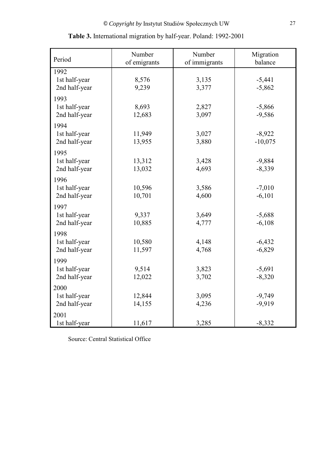| Period                                 | Number<br>of emigrants | Number<br>of immigrants | Migration<br>balance  |
|----------------------------------------|------------------------|-------------------------|-----------------------|
| 1992<br>1st half-year<br>2nd half-year | 8,576<br>9,239         | 3,135<br>3,377          | $-5,441$<br>$-5,862$  |
| 1993<br>1st half-year<br>2nd half-year | 8,693<br>12,683        | 2,827<br>3,097          | $-5,866$<br>$-9,586$  |
| 1994<br>1st half-year<br>2nd half-year | 11,949<br>13,955       | 3,027<br>3,880          | $-8,922$<br>$-10,075$ |
| 1995<br>1st half-year<br>2nd half-year | 13,312<br>13,032       | 3,428<br>4,693          | $-9,884$<br>$-8,339$  |
| 1996<br>1st half-year<br>2nd half-year | 10,596<br>10,701       | 3,586<br>4,600          | $-7,010$<br>$-6,101$  |
| 1997<br>1st half-year<br>2nd half-year | 9,337<br>10,885        | 3,649<br>4,777          | $-5,688$<br>$-6,108$  |
| 1998<br>1st half-year<br>2nd half-year | 10,580<br>11,597       | 4,148<br>4,768          | $-6,432$<br>$-6,829$  |
| 1999<br>1st half-year<br>2nd half-year | 9,514<br>12,022        | 3,823<br>3,702          | $-5,691$<br>$-8,320$  |
| 2000<br>1st half-year<br>2nd half-year | 12,844<br>14,155       | 3,095<br>4,236          | $-9,749$<br>$-9,919$  |
| 2001<br>1st half-year                  | 11,617                 | 3,285                   | $-8,332$              |

| Table 3. International migration by half-year. Poland: 1992-2001 |  |  |
|------------------------------------------------------------------|--|--|
|                                                                  |  |  |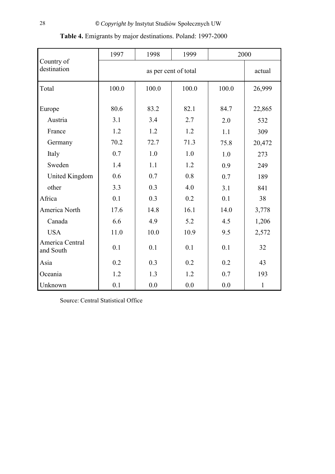|                              | 1997  | 2000  |                                |       |              |  |
|------------------------------|-------|-------|--------------------------------|-------|--------------|--|
| Country of<br>destination    |       |       | as per cent of total<br>actual |       |              |  |
| Total                        | 100.0 | 100.0 | 100.0                          | 100.0 | 26,999       |  |
| Europe                       | 80.6  | 83.2  | 82.1                           | 84.7  | 22,865       |  |
| Austria                      | 3.1   | 3.4   | 2.7                            | 2.0   | 532          |  |
| France                       | 1.2   | 1.2   | 1.2                            | 1.1   | 309          |  |
| Germany                      | 70.2  | 72.7  | 71.3                           | 75.8  | 20,472       |  |
| Italy                        | 0.7   | 1.0   | 1.0                            | 1.0   | 273          |  |
| Sweden                       | 1.4   | 1.1   | 1.2                            | 0.9   | 249          |  |
| <b>United Kingdom</b>        | 0.6   | 0.7   | 0.8                            | 0.7   | 189          |  |
| other                        | 3.3   | 0.3   | 4.0                            | 3.1   | 841          |  |
| Africa                       | 0.1   | 0.3   | 0.2                            | 0.1   | 38           |  |
| America North                | 17.6  | 14.8  | 16.1                           | 14.0  | 3,778        |  |
| Canada                       | 6.6   | 4.9   | 5.2                            | 4.5   | 1,206        |  |
| <b>USA</b>                   | 11.0  | 10.0  | 10.9                           | 9.5   | 2,572        |  |
| America Central<br>and South | 0.1   | 0.1   | 0.1                            | 0.1   | 32           |  |
| Asia                         | 0.2   | 0.3   | 0.2                            | 0.2   | 43           |  |
| Oceania                      | 1.2   | 1.3   | 1.2                            | 0.7   | 193          |  |
| Unknown                      | 0.1   | 0.0   | 0.0                            | 0.0   | $\mathbf{1}$ |  |

## **Table 4.** Emigrants by major destinations. Poland: 1997-2000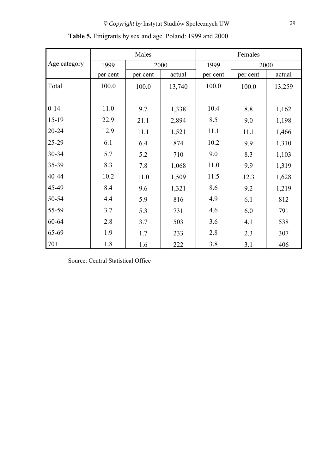|              |          | Males    |        |          | Females  |        |  |  |
|--------------|----------|----------|--------|----------|----------|--------|--|--|
| Age category | 1999     | 2000     |        | 1999     | 2000     |        |  |  |
|              | per cent | per cent | actual | per cent | per cent | actual |  |  |
| Total        | 100.0    | 100.0    | 13,740 | 100.0    | 100.0    | 13,259 |  |  |
|              |          |          |        |          |          |        |  |  |
| $0 - 14$     | 11.0     | 9.7      | 1,338  | 10.4     | 8.8      | 1,162  |  |  |
| 15-19        | 22.9     | 21.1     | 2,894  | 8.5      | 9.0      | 1,198  |  |  |
| 20-24        | 12.9     | 11.1     | 1,521  | 11.1     | 11.1     | 1,466  |  |  |
| 25-29        | 6.1      | 6.4      | 874    | 10.2     | 9.9      | 1,310  |  |  |
| 30-34        | 5.7      | 5.2      | 710    | 9.0      | 8.3      | 1,103  |  |  |
| 35-39        | 8.3      | 7.8      | 1,068  | 11.0     | 9.9      | 1,319  |  |  |
| 40-44        | 10.2     | 11.0     | 1,509  | 11.5     | 12.3     | 1,628  |  |  |
| 45-49        | 8.4      | 9.6      | 1,321  | 8.6      | 9.2      | 1,219  |  |  |
| 50-54        | 4.4      | 5.9      | 816    | 4.9      | 6.1      | 812    |  |  |
| 55-59        | 3.7      | 5.3      | 731    | 4.6      | 6.0      | 791    |  |  |
| 60-64        | 2.8      | 3.7      | 503    | 3.6      | 4.1      | 538    |  |  |
| 65-69        | 1.9      | 1.7      | 233    | 2.8      | 2.3      | 307    |  |  |
| $70+$        | 1.8      | 1.6      | 222    | 3.8      | 3.1      | 406    |  |  |

**Table 5.** Emigrants by sex and age. Poland: 1999 and 2000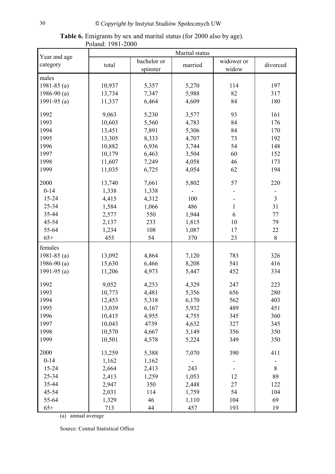| Year and age  | Marital status |                         |         |                     |                |
|---------------|----------------|-------------------------|---------|---------------------|----------------|
| category      | total          | bachelor or<br>spinster | married | widower or<br>widow | divorced       |
| males         |                |                         |         |                     |                |
| 1981-85 $(a)$ | 10,937         | 5,357                   | 5,270   | 114                 | 197            |
| 1986-90 $(a)$ | 13,734         | 7,347                   | 5,988   | 82                  | 317            |
| 1991-95 $(a)$ | 11,337         | 6,464                   | 4,609   | 84                  | 180            |
| 1992          | 9,063          | 5,230                   | 3,577   | 93                  | 161            |
| 1993          | 10,603         | 5,560                   | 4,783   | 84                  | 176            |
| 1994          | 13,451         | 7,891                   | 5,306   | 84                  | 170            |
| 1995          | 13,305         | 8,333                   | 4,707   | 73                  | 192            |
| 1996          | 10,882         | 6,936                   | 3,744   | 54                  | 148            |
| 1997          | 10,179         | 6,463                   | 3,504   | 60                  | 152            |
| 1998          | 11,607         | 7,249                   | 4,058   | 46                  | 173            |
| 1999          | 11,035         | 6,725                   | 4,054   | 62                  | 194            |
| 2000          | 13,740         | 7,661                   | 5,802   | 57                  | 220            |
| $0 - 14$      | 1,338          | 1,338                   |         |                     |                |
| 15-24         | 4,415          | 4,312                   | 100     |                     | $\overline{3}$ |
| 25-34         | 1,584          | 1,066                   | 486     | 1                   | 31             |
| 35-44         | 2,577          | 550                     | 1,944   | 6                   | 77             |
| 45-54         | 2,137          | 233                     | 1,815   | 10                  | 79             |
| 55-64         | 1,234          | 108                     | 1,087   | 17                  | 22             |
| $65+$         | 455            | 54                      | 370     | 23                  | 8              |
| females       |                |                         |         |                     |                |
| 1981-85 $(a)$ | 13,092         | 4,864                   | 7,120   | 783                 | 326            |
| 1986-90 $(a)$ | 15,630         | 6,466                   | 8,208   | 541                 | 416            |
| 1991-95 $(a)$ | 11,206         | 4,973                   | 5,447   | 452                 | 334            |
|               |                |                         |         |                     |                |
| 1992          | 9,052          | 4,253                   | 4,329   | 247                 | 223            |
| 1993          | 10,773         | 4,481                   | 5,356   | 656                 | 280            |
| 1994          | 12,453         | 5,318                   | 6,170   | 562                 | 403            |
| 1995          | 13,039         | 6,167                   | 5,932   | 489                 | 451            |
| 1996          | 10,415         | 4,955                   | 4,755   | 345                 | 360            |
| 1997          | 10,043         | 4739                    | 4,632   | 327                 | 345            |
| 1998          | 10,570         | 4,667                   | 5,149   | 356                 | 350            |
| 1999          | 10,501         | 4,578                   | 5,224   | 349                 | 350            |
| 2000          | 13,259         | 5,388                   | 7,070   | 390                 | 411            |
| $0 - 14$      | 1,162          | 1,162                   |         |                     |                |
| 15-24         | 2,664          | 2,413                   | 243     |                     | $8\,$          |
| 25-34         | 2,413          | 1,259                   | 1,053   | 12                  | 89             |
| 35-44         | 2,947          | 350                     | 2,448   | 27                  | 122            |
| 45-54         | 2,031          | 114                     | 1,759   | 54                  | 104            |
| 55-64         | 1,329          | 46                      | 1,110   | 104                 | 69             |
| $65+$         | 713            | 44                      | 457     | 193                 | 19             |

**Table 6.** Emigrants by sex and marital status (for 2000 also by age). Poland: 1981-2000

(a) annual average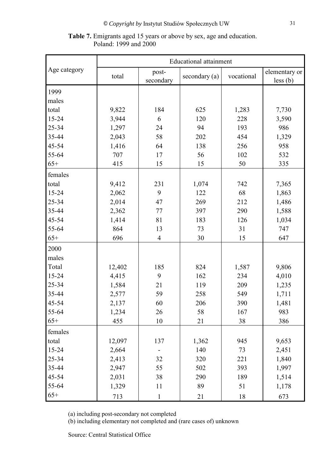#### **Table 7.** Emigrants aged 15 years or above by sex, age and education. Poland: 1999 and 2000

|              | <b>Educational attainment</b> |                    |               |            |                           |  |  |
|--------------|-------------------------------|--------------------|---------------|------------|---------------------------|--|--|
| Age category | total                         | post-<br>secondary | secondary (a) | vocational | elementary or<br>less (b) |  |  |
| 1999         |                               |                    |               |            |                           |  |  |
| males        |                               |                    |               |            |                           |  |  |
| total        | 9,822                         | 184                | 625           | 1,283      | 7,730                     |  |  |
| 15-24        | 3,944                         | 6                  | 120           | 228        | 3,590                     |  |  |
| 25-34        | 1,297                         | 24                 | 94            | 193        | 986                       |  |  |
| 35-44        | 2,043                         | 58                 | 202           | 454        | 1,329                     |  |  |
| 45-54        | 1,416                         | 64                 | 138           | 256        | 958                       |  |  |
| 55-64        | 707                           | 17                 | 56            | 102        | 532                       |  |  |
| $65+$        | 415                           | 15                 | 15            | 50         | 335                       |  |  |
| females      |                               |                    |               |            |                           |  |  |
| total        | 9,412                         | 231                | 1,074         | 742        | 7,365                     |  |  |
| 15-24        | 2,062                         | 9                  | 122           | 68         | 1,863                     |  |  |
| 25-34        | 2,014                         | 47                 | 269           | 212        | 1,486                     |  |  |
| 35-44        | 2,362                         | 77                 | 397           | 290        | 1,588                     |  |  |
| 45-54        | 1,414                         | 81                 | 183           | 126        | 1,034                     |  |  |
| 55-64        | 864                           | 13                 | 73            | 31         | 747                       |  |  |
| $65+$        | 696                           | $\overline{4}$     | 30            | 15         | 647                       |  |  |
| 2000         |                               |                    |               |            |                           |  |  |
| males        |                               |                    |               |            |                           |  |  |
| Total        | 12,402                        | 185                | 824           | 1,587      | 9,806                     |  |  |
| 15-24        | 4,415                         | 9                  | 162           | 234        | 4,010                     |  |  |
| 25-34        | 1,584                         | 21                 | 119           | 209        | 1,235                     |  |  |
| 35-44        | 2,577                         | 59                 | 258           | 549        | 1,711                     |  |  |
| 45-54        | 2,137                         | 60                 | 206           | 390        | 1,481                     |  |  |
| 55-64        | 1,234                         | 26                 | 58            | 167        | 983                       |  |  |
| $65+$        | 455                           | 10                 | 21            | 38         | 386                       |  |  |
| females      |                               |                    |               |            |                           |  |  |
| total        | 12,097                        | 137                | 1,362         | 945        | 9,653                     |  |  |
| 15-24        | 2,664                         |                    | 140           | 73         | 2,451                     |  |  |
| 25-34        | 2,413                         | 32                 | 320           | 221        | 1,840                     |  |  |
| 35-44        | 2,947                         | 55                 | 502           | 393        | 1,997                     |  |  |
| 45-54        | 2,031                         | 38                 | 290           | 189        | 1,514                     |  |  |
| 55-64        | 1,329                         | 11                 | 89            | 51         | 1,178                     |  |  |
| $65+$        | 713                           | $\mathbf{1}$       | 21            | 18         | 673                       |  |  |

(a) including post-secondary not completed

(b) including elementary not completed and (rare cases of) unknown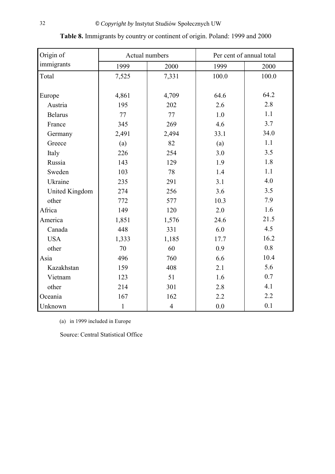| Origin of      | Actual numbers |                | Per cent of annual total |       |
|----------------|----------------|----------------|--------------------------|-------|
| immigrants     | 1999           | 2000           | 1999                     | 2000  |
| Total          | 7,525          | 7,331          | 100.0                    | 100.0 |
|                |                |                |                          |       |
| Europe         | 4,861          | 4,709          | 64.6                     | 64.2  |
| Austria        | 195            | 202            | 2.6                      | 2.8   |
| <b>Belarus</b> | 77             | 77             | 1.0                      | 1.1   |
| France         | 345            | 269            | 4.6                      | 3.7   |
| Germany        | 2,491          | 2,494          | 33.1                     | 34.0  |
| Greece         | (a)            | 82             | (a)                      | 1.1   |
| Italy          | 226            | 254            | 3.0                      | 3.5   |
| Russia         | 143            | 129            | 1.9                      | 1.8   |
| Sweden         | 103            | 78             | 1.4                      | 1.1   |
| Ukraine        | 235            | 291            | 3.1                      | 4.0   |
| United Kingdom | 274            | 256            | 3.6                      | 3.5   |
| other          | 772            | 577            | 10.3                     | 7.9   |
| Africa         | 149            | 120            | 2.0                      | 1.6   |
| America        | 1,851          | 1,576          | 24.6                     | 21.5  |
| Canada         | 448            | 331            | 6.0                      | 4.5   |
| <b>USA</b>     | 1,333          | 1,185          | 17.7                     | 16.2  |
| other          | 70             | 60             | 0.9                      | 0.8   |
| Asia           | 496            | 760            | 6.6                      | 10.4  |
| Kazakhstan     | 159            | 408            | 2.1                      | 5.6   |
| Vietnam        | 123            | 51             | 1.6                      | 0.7   |
| other          | 214            | 301            | 2.8                      | 4.1   |
| Oceania        | 167            | 162            | 2.2                      | 2.2   |
| Unknown        | $\mathbf{1}$   | $\overline{4}$ | 0.0                      | 0.1   |

**Table 8.** Immigrants by country or continent of origin. Poland: 1999 and 2000

(a) in 1999 included in Europe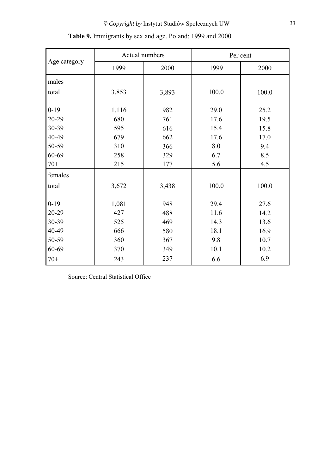|              | Actual numbers |       | Per cent |       |  |
|--------------|----------------|-------|----------|-------|--|
| Age category | 1999           | 2000  | 1999     | 2000  |  |
| males        |                |       |          |       |  |
| total        | 3,853          | 3,893 | 100.0    | 100.0 |  |
| $0-19$       | 1,116          | 982   | 29.0     | 25.2  |  |
| 20-29        | 680            | 761   | 17.6     | 19.5  |  |
| 30-39        | 595            | 616   | 15.4     | 15.8  |  |
| 40-49        | 679            | 662   | 17.6     | 17.0  |  |
| 50-59        | 310            | 366   | 8.0      | 9.4   |  |
| 60-69        | 258            | 329   | 6.7      | 8.5   |  |
| $70+$        | 215            | 177   | 5.6      | 4.5   |  |
| females      |                |       |          |       |  |
| total        | 3,672          | 3,438 | 100.0    | 100.0 |  |
| $0 - 19$     | 1,081          | 948   | 29.4     | 27.6  |  |
| 20-29        | 427            | 488   | 11.6     | 14.2  |  |
| 30-39        | 525            | 469   | 14.3     | 13.6  |  |
| 40-49        | 666            | 580   | 18.1     | 16.9  |  |
| 50-59        | 360            | 367   | 9.8      | 10.7  |  |
| 60-69        | 370            | 349   | 10.1     | 10.2  |  |
| $70+$        | 243            | 237   | 6.6      | 6.9   |  |

| Table 9. Immigrants by sex and age. Poland: 1999 and 2000 |  |  |  |  |
|-----------------------------------------------------------|--|--|--|--|
|                                                           |  |  |  |  |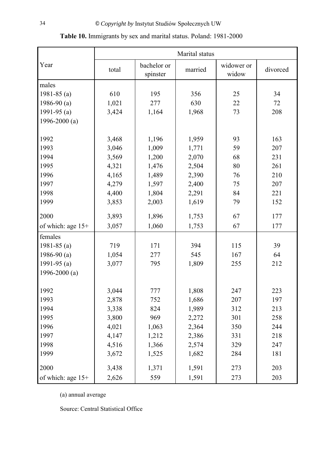|                     |       |                         | Marital status |                     |            |
|---------------------|-------|-------------------------|----------------|---------------------|------------|
| Year                | total | bachelor or<br>spinster | married        | widower or<br>widow | divorced   |
| males               |       |                         |                |                     |            |
| 1981-85 $(a)$       | 610   | 195                     | 356            | 25                  | 34         |
| 1986-90 $(a)$       | 1,021 | 277                     | 630            | 22                  | 72         |
| 1991-95 $(a)$       | 3,424 | 1,164                   | 1,968          | 73                  | 208        |
| 1996-2000 $(a)$     |       |                         |                |                     |            |
|                     |       |                         |                | 93                  |            |
| 1992<br>1993        | 3,468 | 1,196                   | 1,959          | 59                  | 163<br>207 |
| 1994                | 3,046 | 1,009                   | 1,771          | 68                  | 231        |
| 1995                | 3,569 | 1,200                   | 2,070          | 80                  | 261        |
| 1996                | 4,321 | 1,476                   | 2,504          | 76                  | 210        |
| 1997                | 4,165 | 1,489                   | 2,390          | 75                  | 207        |
| 1998                | 4,279 | 1,597                   | 2,400          | 84                  | 221        |
| 1999                | 4,400 | 1,804<br>2,003          | 2,291<br>1,619 | 79                  | 152        |
|                     | 3,853 |                         |                |                     |            |
| 2000                | 3,893 | 1,896                   | 1,753          | 67                  | 177        |
| of which: age $15+$ | 3,057 | 1,060                   | 1,753          | 67                  | 177        |
| females             |       |                         |                |                     |            |
| 1981-85 $(a)$       | 719   | 171                     | 394            | 115                 | 39         |
| 1986-90 $(a)$       | 1,054 | 277                     | 545            | 167                 | 64         |
| 1991-95 $(a)$       | 3,077 | 795                     | 1,809          | 255                 | 212        |
| 1996-2000 $(a)$     |       |                         |                |                     |            |
| 1992                | 3,044 | 777                     | 1,808          | 247                 | 223        |
| 1993                | 2,878 | 752                     | 1,686          | 207                 | 197        |
| 1994                | 3,338 | 824                     | 1,989          | 312                 | 213        |
| 1995                | 3,800 | 969                     | 2,272          | 301                 | 258        |
| 1996                | 4,021 | 1,063                   | 2,364          | 350                 | 244        |
| 1997                | 4,147 | 1,212                   | 2,386          | 331                 | 218        |
| 1998                | 4,516 | 1,366                   | 2,574          | 329                 | 247        |
| 1999                | 3,672 | 1,525                   | 1,682          | 284                 | 181        |
| 2000                | 3,438 | 1,371                   | 1,591          | 273                 | 203        |
| of which: age 15+   | 2,626 | 559                     | 1,591          | 273                 | 203        |

**Table 10.** Immigrants by sex and marital status. Poland: 1981-2000

(a) annual average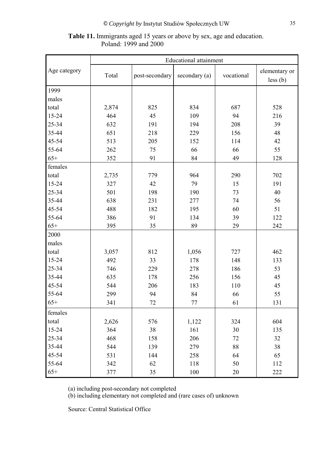|              |       |                | <b>Educational attainment</b> |            |               |
|--------------|-------|----------------|-------------------------------|------------|---------------|
| Age category |       |                |                               |            | elementary or |
|              | Total | post-secondary | secondary (a)                 | vocational | less (b)      |
| 1999         |       |                |                               |            |               |
| males        |       |                |                               |            |               |
| total        | 2,874 | 825            | 834                           | 687        | 528           |
| 15-24        | 464   | 45             | 109                           | 94         | 216           |
| 25-34        | 632   | 191            | 194                           | 208        | 39            |
| 35-44        | 651   | 218            | 229                           | 156        | 48            |
| 45-54        | 513   | 205            | 152                           | 114        | 42            |
| 55-64        | 262   | 75             | 66                            | 66         | 55            |
| $65+$        | 352   | 91             | 84                            | 49         | 128           |
| females      |       |                |                               |            |               |
| total        | 2,735 | 779            | 964                           | 290        | 702           |
| 15-24        | 327   | 42             | 79                            | 15         | 191           |
| 25-34        | 501   | 198            | 190                           | 73         | 40            |
| 35-44        | 638   | 231            | 277                           | 74         | 56            |
| 45-54        | 488   | 182            | 195                           | 60         | 51            |
| 55-64        | 386   | 91             | 134                           | 39         | 122           |
| $65+$        | 395   | 35             | 89                            | 29         | 242           |
| 2000         |       |                |                               |            |               |
| males        |       |                |                               |            |               |
| total        | 3,057 | 812            | 1,056                         | 727        | 462           |
| 15-24        | 492   | 33             | 178                           | 148        | 133           |
| 25-34        | 746   | 229            | 278                           | 186        | 53            |
| 35-44        | 635   | 178            | 256                           | 156        | 45            |
| 45-54        | 544   | 206            | 183                           | 110        | 45            |
| 55-64        | 299   | 94             | 84                            | 66         | 55            |
| $65+$        | 341   | 72             | 77                            | 61         | 131           |
| females      |       |                |                               |            |               |
| total        | 2,626 | 576            | 1,122                         | 324        | 604           |
| 15-24        | 364   | 38             | 161                           | 30         | 135           |
| 25-34        | 468   | 158            | 206                           | 72         | 32            |
| 35-44        | 544   | 139            | 279                           | 88         | 38            |
| 45-54        | 531   | 144            | 258                           | 64         | 65            |
| 55-64        | 342   | 62             | 118                           | 50         | 112           |
| $65+$        | 377   | 35             | $100\,$                       | $20\,$     | 222           |

### **Table 11.** Immigrants aged 15 years or above by sex, age and education. Poland: 1999 and 2000

(a) including post-secondary not completed

(b) including elementary not completed and (rare cases of) unknown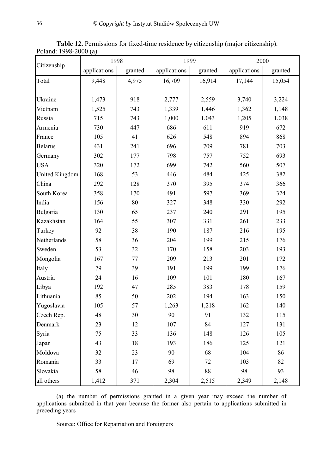|                       | 1998         |         | 1999         |         | 2000         |         |
|-----------------------|--------------|---------|--------------|---------|--------------|---------|
| Citizenship           | applications | granted | applications | granted | applications | granted |
| Total                 | 9,448        | 4,975   | 16,709       | 16,914  | 17,144       | 15,054  |
|                       |              |         |              |         |              |         |
| Ukraine               | 1,473        | 918     | 2,777        | 2,559   | 3,740        | 3,224   |
| Vietnam               | 1,525        | 743     | 1,339        | 1,446   | 1,362        | 1,148   |
| Russia                | 715          | 743     | 1,000        | 1,043   | 1,205        | 1,038   |
| Armenia               | 730          | 447     | 686          | 611     | 919          | 672     |
| France                | 105          | 41      | 626          | 548     | 894          | 868     |
| <b>Belarus</b>        | 431          | 241     | 696          | 709     | 781          | 703     |
| Germany               | 302          | 177     | 798          | 757     | 752          | 693     |
| <b>USA</b>            | 320          | 172     | 699          | 742     | 560          | 507     |
| <b>United Kingdom</b> | 168          | 53      | 446          | 484     | 425          | 382     |
| China                 | 292          | 128     | 370          | 395     | 374          | 366     |
| South Korea           | 358          | 170     | 491          | 597     | 369          | 324     |
| India                 | 156          | 80      | 327          | 348     | 330          | 292     |
| Bulgaria              | 130          | 65      | 237          | 240     | 291          | 195     |
| Kazakhstan            | 164          | 55      | 307          | 331     | 261          | 233     |
| Turkey                | 92           | 38      | 190          | 187     | 216          | 195     |
| Netherlands           | 58           | 36      | 204          | 199     | 215          | 176     |
| Sweden                | 53           | 32      | 170          | 158     | 203          | 193     |
| Mongolia              | 167          | 77      | 209          | 213     | 201          | 172     |
| Italy                 | 79           | 39      | 191          | 199     | 199          | 176     |
| Austria               | 24           | 16      | 109          | 101     | 180          | 167     |
| Libya                 | 192          | 47      | 285          | 383     | 178          | 159     |
| Lithuania             | 85           | 50      | 202          | 194     | 163          | 150     |
| Yugoslavia            | 105          | 57      | 1,263        | 1,218   | 162          | 140     |
| Czech Rep.            | 48           | 30      | 90           | 91      | 132          | 115     |
| Denmark               | 23           | 12      | 107          | 84      | 127          | 131     |
| Syria                 | 75           | 33      | 136          | 148     | 126          | 105     |
| Japan                 | 43           | 18      | 193          | 186     | 125          | 121     |
| Moldova               | 32           | 23      | 90           | 68      | 104          | 86      |
| Romania               | 33           | 17      | 69           | 72      | 103          | 82      |
| Slovakia              | 58           | 46      | 98           | $88\,$  | 98           | 93      |
| all others            | 1,412        | 371     | 2,304        | 2,515   | 2,349        | 2,148   |

**Table 12.** Permissions for fixed-time residence by citizenship (major citizenship). Poland: 1998-2000 (a)

(a) the number of permissions granted in a given year may exceed the number of applications submitted in that year because the former also pertain to applications submitted in preceding years

Source: Office for Repatriation and Foreigners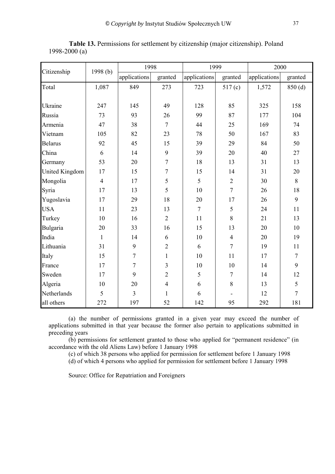|                |                | 1998           |                | 1999           |                  | 2000         |                |
|----------------|----------------|----------------|----------------|----------------|------------------|--------------|----------------|
| Citizenship    | 1998(b)        | applications   | granted        | applications   | granted          | applications | granted        |
| Total          | 1,087          | 849            | 273            | 723            | 517(c)           | 1,572        | 850(d)         |
|                |                |                |                |                |                  |              |                |
| Ukraine        | 247            | 145            | 49             | 128            | 85               | 325          | 158            |
| Russia         | 73             | 93             | 26             | 99             | 87               | 177          | 104            |
| Armenia        | 47             | 38             | $\overline{7}$ | 44             | 25               | 169          | 74             |
| Vietnam        | 105            | 82             | 23             | 78             | 50               | 167          | 83             |
| <b>Belarus</b> | 92             | 45             | 15             | 39             | 29               | 84           | 50             |
| China          | 6              | 14             | 9              | 39             | 20               | 40           | 27             |
| Germany        | 53             | 20             | $\overline{7}$ | 18             | 13               | 31           | 13             |
| United Kingdom | 17             | 15             | $\tau$         | 15             | 14               | 31           | 20             |
| Mongolia       | $\overline{4}$ | 17             | 5              | 5              | $\overline{2}$   | 30           | 8              |
| Syria          | 17             | 13             | 5              | 10             | $\overline{7}$   | 26           | 18             |
| Yugoslavia     | 17             | 29             | 18             | 20             | 17               | 26           | 9              |
| <b>USA</b>     | 11             | 23             | 13             | $\overline{7}$ | 5                | 24           | 11             |
| Turkey         | 10             | 16             | $\overline{2}$ | 11             | 8                | 21           | 13             |
| Bulgaria       | 20             | 33             | 16             | 15             | 13               | 20           | 10             |
| India          | $\mathbf{1}$   | 14             | 6              | 10             | $\overline{4}$   | 20           | 19             |
| Lithuania      | 31             | 9              | $\overline{2}$ | 6              | $\overline{7}$   | 19           | 11             |
| Italy          | 15             | $\tau$         | $\mathbf{1}$   | 10             | 11               | 17           | $\tau$         |
| France         | 17             | $\overline{7}$ | 3              | 10             | 10               | 14           | 9              |
| Sweden         | 17             | 9              | $\overline{2}$ | 5              | $\boldsymbol{7}$ | 14           | 12             |
| Algeria        | 10             | 20             | $\overline{4}$ | 6              | $8\,$            | 13           | 5              |
| Netherlands    | 5              | $\overline{3}$ | $\mathbf{1}$   | 6              |                  | 12           | $\overline{7}$ |
| all others     | 272            | 197            | 52             | 142            | 95               | 292          | 181            |

**Table 13.** Permissions for settlement by citizenship (major citizenship). Poland 1998-2000 (a)

(a) the number of permissions granted in a given year may exceed the number of applications submitted in that year because the former also pertain to applications submitted in preceding years

(b) permissions for settlement granted to those who applied for "permanent residence" (in accordance with the old Aliens Law) before 1 January 1998

(c) of which 38 persons who applied for permission for settlement before 1 January 1998

(d) of which 4 persons who applied for permission for settlement before 1 January 1998

Source: Office for Repatriation and Foreigners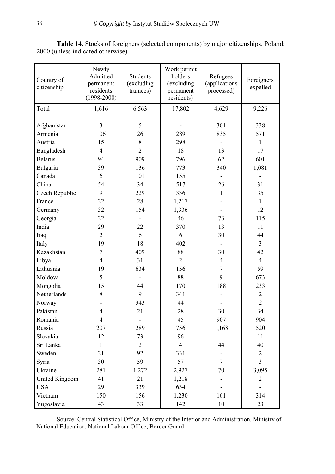| Country of<br>citizenship | Newly<br>Admitted<br>permanent<br>residents<br>$(1998 - 2000)$ | <b>Students</b><br>(excluding<br>trainees) | Work permit<br>holders<br>(excluding<br>permanent<br>residents) | Refugees<br>(applications)<br>processed) | Foreigners<br>expelled |
|---------------------------|----------------------------------------------------------------|--------------------------------------------|-----------------------------------------------------------------|------------------------------------------|------------------------|
| Total                     | 1,616                                                          | 6,563                                      | 17,802                                                          | 4,629                                    | 9,226                  |
| Afghanistan               | 3                                                              | 5                                          |                                                                 | 301                                      | 338                    |
| Armenia                   | 106                                                            | 26                                         | 289                                                             | 835                                      | 571                    |
| Austria                   | 15                                                             | 8                                          | 298                                                             |                                          | $\mathbf{1}$           |
| Bangladesh                | $\overline{4}$                                                 | $\overline{2}$                             | 18                                                              | 13                                       | 17                     |
| <b>Belarus</b>            | 94                                                             | 909                                        | 796                                                             | 62                                       | 601                    |
| Bulgaria                  | 39                                                             | 136                                        | 773                                                             | 340                                      | 1,081                  |
| Canada                    | 6                                                              | 101                                        | 155                                                             |                                          |                        |
| China                     | 54                                                             | 34                                         | 517                                                             | 26                                       | 31                     |
| Czech Republic            | 9                                                              | 229                                        | 336                                                             | 1                                        | 35                     |
| France                    | 22                                                             | 28                                         | 1,217                                                           |                                          | $\mathbf{1}$           |
| Germany                   | 32                                                             | 154                                        | 1,336                                                           |                                          | 12                     |
| Georgia                   | 22                                                             |                                            | 46                                                              | 73                                       | 115                    |
| India                     | 29                                                             | 22                                         | 370                                                             | 13                                       | 11                     |
| Iraq                      | $\overline{2}$                                                 | 6                                          | 6                                                               | 30                                       | 44                     |
| Italy                     | 19                                                             | 18                                         | 402                                                             |                                          | $\mathfrak{Z}$         |
| Kazakhstan                | $\overline{7}$                                                 | 409                                        | 88                                                              | 30                                       | 42                     |
| Libya                     | $\overline{4}$                                                 | 31                                         | $\overline{2}$                                                  | $\overline{4}$                           | $\overline{4}$         |
| Lithuania                 | 19                                                             | 634                                        | 156                                                             | $\overline{7}$                           | 59                     |
| Moldova                   | 5                                                              | $\overline{\phantom{a}}$                   | 88                                                              | 9                                        | 673                    |
| Mongolia                  | 15                                                             | 44                                         | 170                                                             | 188                                      | 233                    |
| Netherlands               | 8                                                              | 9                                          | 341                                                             |                                          | $\overline{2}$         |
| Norway                    |                                                                | 343                                        | 44                                                              |                                          | $\overline{2}$         |
| Pakistan                  | $\overline{4}$                                                 | 21                                         | 28                                                              | 30                                       | 34                     |
| Romania                   | $\overline{4}$                                                 | $\qquad \qquad \blacksquare$               | 45                                                              | 907                                      | 904                    |
| Russia                    | 207                                                            | 289                                        | 756                                                             | 1,168                                    | 520                    |
| Slovakia                  | 12                                                             | 73                                         | 96                                                              |                                          | 11                     |
| Sri Lanka                 | $\mathbf{1}$                                                   | $\overline{2}$                             | $\overline{4}$                                                  | 44                                       | 40                     |
| Sweden                    | 21                                                             | 92                                         | 331                                                             |                                          | $\overline{2}$         |
| Syria                     | 30                                                             | 59                                         | 57                                                              | $\overline{7}$                           | $\overline{3}$         |
| Ukraine                   | 281                                                            | 1,272                                      | 2,927                                                           | 70                                       | 3,095                  |
| United Kingdom            | 41                                                             | 21                                         | 1,218                                                           |                                          | $\overline{2}$         |
| <b>USA</b>                | 29                                                             | 339                                        | 634                                                             |                                          |                        |
| Vietnam                   | 150                                                            | 156                                        | 1,230                                                           | 161                                      | 314                    |
| Yugoslavia                | 43                                                             | 33                                         | 142                                                             | 10                                       | 23                     |

**Table 14.** Stocks of foreigners (selected components) by major citizenships. Poland: 2000 (unless indicated otherwise)

Source: Central Statistical Office, Ministry of the Interior and Administration, Ministry of National Education, National Labour Office, Border Guard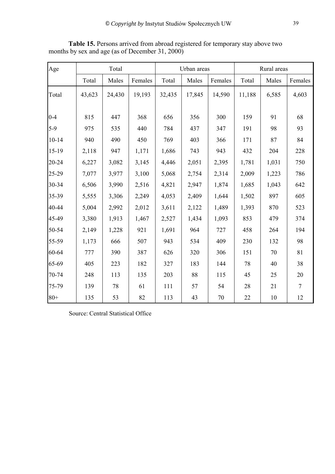| Age       |        | Total  |         |        | Urban areas |         |        | Rural areas |                |  |
|-----------|--------|--------|---------|--------|-------------|---------|--------|-------------|----------------|--|
|           | Total  | Males  | Females | Total  | Males       | Females | Total  | Males       | Females        |  |
| Total     | 43,623 | 24,430 | 19,193  | 32,435 | 17,845      | 14,590  | 11,188 | 6,585       | 4,603          |  |
| $0 - 4$   | 815    | 447    | 368     | 656    | 356         | 300     | 159    | 91          | 68             |  |
| $5-9$     | 975    | 535    | 440     | 784    | 437         | 347     | 191    | 98          | 93             |  |
| $10 - 14$ | 940    | 490    | 450     | 769    | 403         | 366     | 171    | 87          | 84             |  |
| $15-19$   | 2,118  | 947    | 1,171   | 1,686  | 743         | 943     | 432    | 204         | 228            |  |
| 20-24     | 6,227  | 3,082  | 3,145   | 4,446  | 2,051       | 2,395   | 1,781  | 1,031       | 750            |  |
| 25-29     | 7,077  | 3,977  | 3,100   | 5,068  | 2,754       | 2,314   | 2,009  | 1,223       | 786            |  |
| 30-34     | 6,506  | 3,990  | 2,516   | 4,821  | 2,947       | 1,874   | 1,685  | 1,043       | 642            |  |
| 35-39     | 5,555  | 3,306  | 2,249   | 4,053  | 2,409       | 1,644   | 1,502  | 897         | 605            |  |
| 40-44     | 5,004  | 2,992  | 2,012   | 3,611  | 2,122       | 1,489   | 1,393  | 870         | 523            |  |
| 45-49     | 3,380  | 1,913  | 1,467   | 2,527  | 1,434       | 1,093   | 853    | 479         | 374            |  |
| 50-54     | 2,149  | 1,228  | 921     | 1,691  | 964         | 727     | 458    | 264         | 194            |  |
| 55-59     | 1,173  | 666    | 507     | 943    | 534         | 409     | 230    | 132         | 98             |  |
| 60-64     | 777    | 390    | 387     | 626    | 320         | 306     | 151    | 70          | 81             |  |
| 65-69     | 405    | 223    | 182     | 327    | 183         | 144     | 78     | 40          | 38             |  |
| 70-74     | 248    | 113    | 135     | 203    | 88          | 115     | 45     | 25          | 20             |  |
| 75-79     | 139    | 78     | 61      | 111    | 57          | 54      | 28     | 21          | $\overline{7}$ |  |
| $80 +$    | 135    | 53     | 82      | 113    | 43          | 70      | 22     | 10          | 12             |  |

**Table 15.** Persons arrived from abroad registered for temporary stay above two months by sex and age (as of December 31, 2000)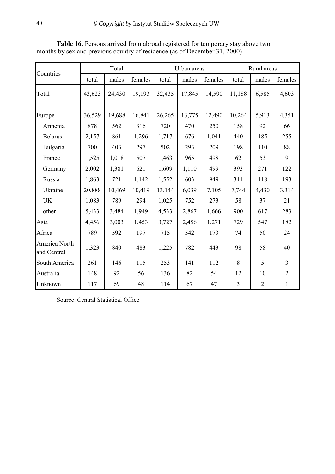|                              | Total  |        |         |        | Urban areas |         |                | Rural areas    |                |  |
|------------------------------|--------|--------|---------|--------|-------------|---------|----------------|----------------|----------------|--|
| Countries                    | total  | males  | females | total  | males       | females | total          | males          | females        |  |
| Total                        | 43,623 | 24,430 | 19,193  | 32,435 | 17,845      | 14,590  | 11,188         | 6,585          | 4,603          |  |
| Europe                       | 36,529 | 19,688 | 16,841  | 26,265 | 13,775      | 12,490  | 10,264         | 5,913          | 4,351          |  |
| Armenia                      | 878    | 562    | 316     | 720    | 470         | 250     | 158            | 92             | 66             |  |
| <b>Belarus</b>               | 2,157  | 861    | 1,296   | 1,717  | 676         | 1,041   | 440            | 185            | 255            |  |
| Bulgaria                     | 700    | 403    | 297     | 502    | 293         | 209     | 198            | 110            | 88             |  |
| France                       | 1,525  | 1,018  | 507     | 1,463  | 965         | 498     | 62             | 53             | 9              |  |
| Germany                      | 2,002  | 1,381  | 621     | 1,609  | 1,110       | 499     | 393            | 271            | 122            |  |
| Russia                       | 1,863  | 721    | 1,142   | 1,552  | 603         | 949     | 311            | 118            | 193            |  |
| Ukraine                      | 20,888 | 10,469 | 10,419  | 13,144 | 6,039       | 7,105   | 7,744          | 4,430          | 3,314          |  |
| UK                           | 1,083  | 789    | 294     | 1,025  | 752         | 273     | 58             | 37             | 21             |  |
| other                        | 5,433  | 3,484  | 1,949   | 4,533  | 2,867       | 1,666   | 900            | 617            | 283            |  |
| Asia                         | 4,456  | 3,003  | 1,453   | 3,727  | 2,456       | 1,271   | 729            | 547            | 182            |  |
| Africa                       | 789    | 592    | 197     | 715    | 542         | 173     | 74             | 50             | 24             |  |
| America North<br>and Central | 1,323  | 840    | 483     | 1,225  | 782         | 443     | 98             | 58             | 40             |  |
| South America                | 261    | 146    | 115     | 253    | 141         | 112     | 8              | 5              | $\overline{3}$ |  |
| Australia                    | 148    | 92     | 56      | 136    | 82          | 54      | 12             | 10             | $\overline{2}$ |  |
| Unknown                      | 117    | 69     | 48      | 114    | 67          | 47      | $\overline{3}$ | $\overline{2}$ | $\mathbf{1}$   |  |

**Table 16.** Persons arrived from abroad registered for temporary stay above two months by sex and previous country of residence (as of December 31, 2000)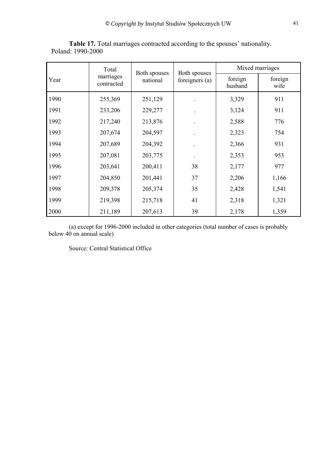|      | Total                   | Both spouses | Both spouses   |                    | Mixed marriages |
|------|-------------------------|--------------|----------------|--------------------|-----------------|
| Year | marriages<br>contracted | national     | foreigners (a) | foreign<br>husband | foreign<br>wife |
| 1990 | 255,369                 | 251,129      |                | 3,329              | 911             |
| 1991 | 233,206                 | 229,277      |                | 3,124              | 911             |
| 1992 | 217,240                 | 213,876      |                | 2,588              | 776             |
| 1993 | 207,674                 | 204,597      |                | 2,323              | 754             |
| 1994 | 207,689                 | 204,392      |                | 2,366              | 931             |
| 1995 | 207,081                 | 203,775      |                | 2,353              | 953             |
| 1996 | 203,641                 | 200,411      | 38             | 2,177              | 977             |
| 1997 | 204,850                 | 201,441      | 37             | 2,206              | 1,166           |
| 1998 | 209,378                 | 205,374      | 35             | 2,428              | 1,541           |
| 1999 | 219,398                 | 215,718      | 41             | 2,318              | 1,321           |
| 2000 | 211,189                 | 207,613      | 39             | 2,178              | 1,359           |

**Table 17.** Total marriages contracted according to the spouses' nationality. Poland: 1990-2000

(a) except for 1996-2000 included in other categories (total number of cases is probably below 40 on annual scale)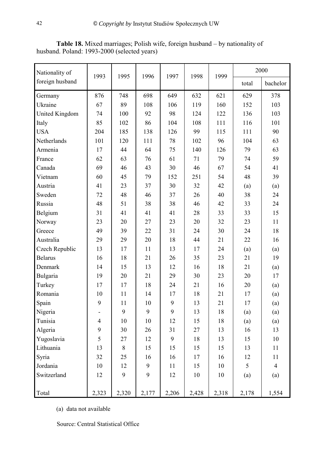| Nationality of  | 1993           | 1995  | 1996  | 1997  | 1998  | 1999  |       | 2000           |
|-----------------|----------------|-------|-------|-------|-------|-------|-------|----------------|
| foreign husband |                |       |       |       |       |       | total | bachelor       |
| Germany         | 876            | 748   | 698   | 649   | 632   | 621   | 629   | 378            |
| Ukraine         | 67             | 89    | 108   | 106   | 119   | 160   | 152   | 103            |
| United Kingdom  | 74             | 100   | 92    | 98    | 124   | 122   | 136   | 103            |
| Italy           | 85             | 102   | 86    | 104   | 108   | 111   | 116   | 101            |
| <b>USA</b>      | 204            | 185   | 138   | 126   | 99    | 115   | 111   | 90             |
| Netherlands     | 101            | 120   | 111   | 78    | 102   | 96    | 104   | 63             |
| Armenia         | 17             | 44    | 64    | 75    | 140   | 126   | 79    | 63             |
| France          | 62             | 63    | 76    | 61    | 71    | 79    | 74    | 59             |
| Canada          | 69             | 46    | 43    | 30    | 46    | 67    | 54    | 41             |
| Vietnam         | 60             | 45    | 79    | 152   | 251   | 54    | 48    | 39             |
| Austria         | 41             | 23    | 37    | 30    | 32    | 42    | (a)   | (a)            |
| Sweden          | 72             | 48    | 46    | 37    | 26    | 40    | 38    | 24             |
| Russia          | 48             | 51    | 38    | 38    | 46    | 42    | 33    | 24             |
| Belgium         | 31             | 41    | 41    | 41    | 28    | 33    | 33    | 15             |
| Norway          | 23             | 20    | 27    | 23    | 20    | 32    | 23    | 11             |
| Greece          | 49             | 39    | 22    | 31    | 24    | 30    | 24    | 18             |
| Australia       | 29             | 29    | 20    | 18    | 44    | 21    | 22    | 16             |
| Czech Republic  | 13             | 17    | 11    | 13    | 17    | 24    | (a)   | (a)            |
| <b>Belarus</b>  | 16             | 18    | 21    | 26    | 35    | 23    | 21    | 19             |
| Denmark         | 14             | 15    | 13    | 12    | 16    | 18    | 21    | (a)            |
| Bulgaria        | 19             | 20    | 21    | 29    | 30    | 23    | 20    | 17             |
| Turkey          | 17             | 17    | 18    | 24    | 21    | 16    | 20    | (a)            |
| Romania         | 10             | 11    | 14    | 17    | 18    | 21    | 17    | (a)            |
| Spain           | 9              | 11    | 10    | 9     | 13    | 21    | 17    | (a)            |
| Nigeria         |                | 9     | 9     | 9     | 13    | 18    | (a)   | (a)            |
| Tunisia         | $\overline{4}$ | 10    | 10    | 12    | 15    | 18    | (a)   | (a)            |
| Algeria         | 9              | 30    | 26    | 31    | 27    | 13    | 16    | 13             |
| Yugoslavia      | 5              | 27    | 12    | 9     | 18    | 13    | 15    | 10             |
| Lithuania       | 13             | $8\,$ | 15    | 15    | 15    | 15    | 13    | 11             |
| Syria           | 32             | 25    | 16    | 16    | 17    | 16    | 12    | 11             |
| Jordania        | 10             | 12    | 9     | 11    | 15    | 10    | 5     | $\overline{4}$ |
| Switzerland     | 12             | 9     | 9     | 12    | 10    | 10    | (a)   | (a)            |
| Total           | 2,323          | 2,320 | 2,177 | 2,206 | 2,428 | 2,318 | 2,178 | 1,554          |

**Table 18.** Mixed marriages; Polish wife, foreign husband – by nationality of husband. Poland: 1993-2000 (selected years)

(a) data not available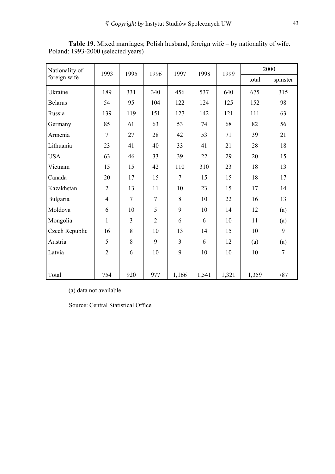| Nationality of | 1993           | 1995           | 1996           | 1997   | 1998  | 1999  | 2000  |                |
|----------------|----------------|----------------|----------------|--------|-------|-------|-------|----------------|
| foreign wife   |                |                |                |        |       |       | total | spinster       |
| Ukraine        | 189            | 331            | 340            | 456    | 537   | 640   | 675   | 315            |
| <b>Belarus</b> | 54             | 95             | 104            | 122    | 124   | 125   | 152   | 98             |
| Russia         | 139            | 119            | 151            | 127    | 142   | 121   | 111   | 63             |
| Germany        | 85             | 61             | 63             | 53     | 74    | 68    | 82    | 56             |
| Armenia        | $\overline{7}$ | 27             | 28             | 42     | 53    | 71    | 39    | 21             |
| Lithuania      | 23             | 41             | 40             | 33     | 41    | 21    | 28    | 18             |
| <b>USA</b>     | 63             | 46             | 33             | 39     | 22    | 29    | 20    | 15             |
| Vietnam        | 15             | 15             | 42             | 110    | 310   | 23    | 18    | 13             |
| Canada         | 20             | 17             | 15             | $\tau$ | 15    | 15    | 18    | 17             |
| Kazakhstan     | $\overline{2}$ | 13             | 11             | 10     | 23    | 15    | 17    | 14             |
| Bulgaria       | $\overline{4}$ | $\overline{7}$ | $\overline{7}$ | 8      | 10    | 22    | 16    | 13             |
| Moldova        | 6              | 10             | 5              | 9      | 10    | 14    | 12    | (a)            |
| Mongolia       | $\mathbf{1}$   | 3              | $\overline{2}$ | 6      | 6     | 10    | 11    | (a)            |
| Czech Republic | 16             | 8              | 10             | 13     | 14    | 15    | 10    | 9              |
| Austria        | 5              | 8              | 9              | 3      | 6     | 12    | (a)   | (a)            |
| Latvia         | $\overline{2}$ | 6              | 10             | 9      | 10    | 10    | 10    | $\overline{7}$ |
|                |                |                |                |        |       |       |       |                |
| Total          | 754            | 920            | 977            | 1,166  | 1,541 | 1,321 | 1,359 | 787            |

**Table 19.** Mixed marriages; Polish husband, foreign wife – by nationality of wife. Poland: 1993-2000 (selected years)

(a) data not available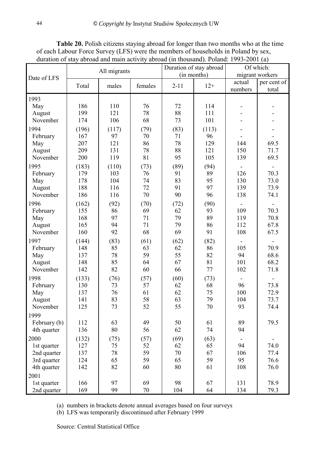|              |       |              |         |          | Duration of stay abroad | Of which:                |                 |  |
|--------------|-------|--------------|---------|----------|-------------------------|--------------------------|-----------------|--|
| Date of LFS  |       | All migrants |         |          | (in months)             |                          | migrant workers |  |
|              | Total | males        | females | $2 - 11$ | $12+$                   | actual                   | per cent of     |  |
|              |       |              |         |          |                         | numbers                  | total           |  |
| 1993         |       |              |         |          |                         |                          |                 |  |
| May          | 186   | 110          | 76      | 72       | 114                     |                          |                 |  |
| August       | 199   | 121          | 78      | 88       | 111                     |                          |                 |  |
| November     | 174   | 106          | 68      | 73       | 101                     |                          |                 |  |
| 1994         | (196) | (117)        | (79)    | (83)     | (113)                   |                          |                 |  |
| February     | 167   | 97           | 70      | 71       | 96                      |                          |                 |  |
| May          | 207   | 121          | 86      | 78       | 129                     | 144                      | 69.5            |  |
| August       | 209   | 131          | 78      | 88       | 121                     | 150                      | 71.7            |  |
| November     | 200   | 119          | 81      | 95       | 105                     | 139                      | 69.5            |  |
| 1995         | (183) | (110)        | (73)    | (89)     | (94)                    |                          |                 |  |
| February     | 179   | 103          | 76      | 91       | 89                      | 126                      | 70.3            |  |
| May          | 178   | 104          | 74      | 83       | 95                      | 130                      | 73.0            |  |
| August       | 188   | 116          | 72      | 91       | 97                      | 139                      | 73.9            |  |
| November     | 186   | 116          | 70      | 90       | 96                      | 138                      | 74.1            |  |
| 1996         | (162) | (92)         | (70)    | (72)     | (90)                    |                          |                 |  |
| February     | 155   | 86           | 69      | 62       | 93                      | 109                      | 70.3            |  |
| May          | 168   | 97           | 71      | 79       | 89                      | 119                      | 70.8            |  |
| August       | 165   | 94           | 71      | 79       | 86                      | 112                      | 67.8            |  |
| November     | 160   | 92           | 68      | 69       | 91                      | 108                      | 67.5            |  |
| 1997         | (144) | (83)         | (61)    | (62)     | (82)                    |                          |                 |  |
| February     | 148   | 85           | 63      | 62       | 86                      | 105                      | 70.9            |  |
| May          | 137   | 78           | 59      | 55       | 82                      | 94                       | 68.6            |  |
| August       | 148   | 85           | 64      | 67       | 81                      | 101                      | 68.2            |  |
| November     | 142   | 82           | 60      | 66       | 77                      | 102                      | 71.8            |  |
| 1998         | (133) | (76)         | (57)    | (60)     | (73)                    | $\overline{\phantom{a}}$ |                 |  |
| February     | 130   | 73           | 57      | 62       | 68                      | 96                       | 73.8            |  |
| May          | 137   | 76           | 61      | 62       | 75                      | 100                      | 72.9            |  |
| August       | 141   | 83           | 58      | 63       | 79                      | 104                      | 73.7            |  |
| November     | 125   | 73           | 52      | 55       | 70                      | 93                       | 74.4            |  |
| 1999         |       |              |         |          |                         |                          |                 |  |
| February (b) | 112   | 63           | 49      | 50       | 61                      | 89                       | 79.5            |  |
| 4th quarter  | 136   | 80           | 56      | 62       | 74                      | 94                       |                 |  |
| 2000         | (132) | (75)         | (57)    | (69)     | (63)                    |                          |                 |  |
| 1st quarter  | 127   | 75           | 52      | 62       | 65                      | 94                       | 74.0            |  |
| 2nd quarter  | 137   | 78           | 59      | 70       | 67                      | 106                      | 77.4            |  |
| 3rd quarter  | 124   | 65           | 59      | 65       | 59                      | 95                       | 76.6            |  |
| 4th quarter  | 142   | 82           | 60      | 80       | 61                      | 108                      | 76.0            |  |
| 2001         |       |              |         |          |                         |                          |                 |  |
| 1st quarter  | 166   | 97           | 69      | 98       | 67                      | 131                      | 78.9            |  |
| 2nd quarter  | 169   | 99           | 70      | 104      | 64                      | 134                      | 79.3            |  |

**Table 20.** Polish citizens staying abroad for longer than two months who at the time of each Labour Force Survey (LFS) were the members of households in Poland by sex, duration of stay abroad and main activity abroad (in thousand). Poland: 1993-2001 (a)

(a) numbers in brackets denote annual averages based on four surveys

(b) LFS was temporarily discontinued after February 1999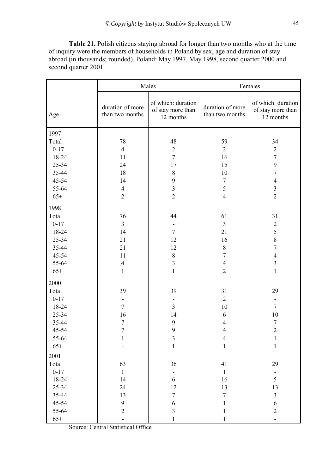**Table 21.** Polish citizens staying abroad for longer than two months who at the time of inquiry were the members of households in Poland by sex, age and duration of stay abroad (in thousands; rounded). Poland: May 1997, May 1998, second quarter 2000 and second quarter 2001

|          |                                     | Males                                                |                                     | Females                                              |
|----------|-------------------------------------|------------------------------------------------------|-------------------------------------|------------------------------------------------------|
| Age      | duration of more<br>than two months | of which: duration<br>of stay more than<br>12 months | duration of more<br>than two months | of which: duration<br>of stay more than<br>12 months |
| 1997     |                                     |                                                      |                                     |                                                      |
| Total    | 78                                  | 48                                                   | 59                                  | 34                                                   |
| $0 - 17$ | $\overline{4}$                      | $\sqrt{2}$                                           | $\overline{2}$                      | $\sqrt{2}$                                           |
| 18-24    | 11                                  | $\overline{7}$                                       | 16                                  | $\boldsymbol{7}$                                     |
| 25-34    | 24                                  | 17                                                   | 15                                  | 9                                                    |
| 35-44    | 18                                  | $\,$ 8 $\,$                                          | 10                                  | $\boldsymbol{7}$                                     |
| 45-54    | 14                                  | 9                                                    | $\sqrt{ }$                          | $\overline{4}$                                       |
| 55-64    | $\overline{4}$                      | $\mathfrak{Z}$                                       | 5                                   | $\overline{\mathbf{3}}$                              |
| $65+$    | $\overline{2}$                      | $\overline{2}$                                       | $\overline{4}$                      | $\overline{2}$                                       |
| 1998     |                                     |                                                      |                                     |                                                      |
| Total    | 76                                  | 44                                                   | 61                                  | 31                                                   |
| $0 - 17$ | $\overline{3}$                      |                                                      | $\mathfrak{Z}$                      | $\sqrt{2}$                                           |
| 18-24    | 14                                  | $\overline{7}$                                       | 21                                  | 5                                                    |
| 25-34    | 21                                  | 12                                                   | 16                                  | 8                                                    |
| 35-44    | 21                                  | 12                                                   | $\,8\,$                             | $\overline{7}$                                       |
| 45-54    | 11                                  | $\,8\,$                                              | $\overline{7}$                      | $\overline{4}$                                       |
| 55-64    | $\overline{4}$                      | $\overline{\mathbf{3}}$                              | $\overline{4}$                      | $\overline{\mathbf{3}}$                              |
| $65+$    | $\mathbf{1}$                        | $\mathbf{1}$                                         | $\overline{2}$                      | $\mathbf{1}$                                         |
| 2000     |                                     |                                                      |                                     |                                                      |
| Total    | 39                                  | 39                                                   | 31                                  | 29                                                   |
| $0 - 17$ |                                     |                                                      | $\overline{2}$                      | $\overline{\phantom{a}}$                             |
| 18-24    | $\overline{7}$                      | $\overline{3}$                                       | 10                                  | $\overline{7}$                                       |
| 25-34    | 16                                  | 14                                                   | 6                                   | 10                                                   |
| 35-44    | 7                                   | 9                                                    | $\overline{4}$                      | $\boldsymbol{7}$                                     |
| 45-54    | $\overline{7}$                      | $\boldsymbol{9}$                                     | $\Lambda$                           | $\overline{c}$                                       |
| 55-64    | 1                                   | $\overline{3}$                                       | $\overline{4}$                      | $\mathbf{1}$                                         |
| $65+$    |                                     | 1                                                    | $\mathbf{1}$                        | $\mathbf{1}$                                         |
| 2001     |                                     |                                                      |                                     |                                                      |
| Total    | 63                                  | 36                                                   | 41                                  | 29                                                   |
| $0 - 17$ | $\mathbf{1}$                        |                                                      | $\mathbf{1}$                        |                                                      |
| 18-24    | 14                                  | 6                                                    | 16                                  | 5                                                    |
| 25-34    | 24                                  | 12                                                   | 13                                  | 13                                                   |
| 35-44    | 13                                  | $\boldsymbol{7}$                                     | $\boldsymbol{7}$                    | $\overline{\mathbf{3}}$                              |
| 45-54    | 9                                   | $\sqrt{6}$                                           | 1                                   | $\sqrt{6}$                                           |
| 55-64    | $\overline{2}$                      | $\mathfrak{Z}$                                       | $\mathbf{1}$                        | $\overline{2}$                                       |
| $65+$    |                                     | $\mathbf{1}$                                         | 1                                   |                                                      |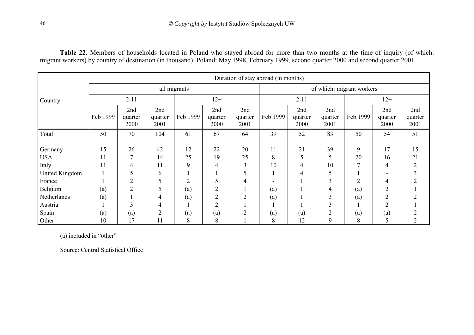**Table 22.** Members of households located in Poland who stayed abroad for more than two months at the time of inquiry (of which: migrant workers) by country of destination (in thousand). Poland: May 1998, February 1999, second quarter 2000 and second quarter 2001

|                     |              | Duration of stay abroad (in months) |                        |                |                        |                        |          |                        |                        |                           |                        |                        |  |
|---------------------|--------------|-------------------------------------|------------------------|----------------|------------------------|------------------------|----------|------------------------|------------------------|---------------------------|------------------------|------------------------|--|
|                     | all migrants |                                     |                        |                |                        |                        |          |                        |                        | of which: migrant workers |                        |                        |  |
| Country             |              | $2 - 11$                            |                        |                | $12+$                  |                        |          | $2 - 11$               |                        |                           | $12+$                  |                        |  |
|                     | Feb 1999     | 2nd<br>quarter<br>2000              | 2nd<br>quarter<br>2001 | Feb 1999       | 2nd<br>quarter<br>2000 | 2nd<br>quarter<br>2001 | Feb 1999 | 2nd<br>quarter<br>2000 | 2nd<br>quarter<br>2001 | Feb 1999                  | 2nd<br>quarter<br>2000 | 2nd<br>quarter<br>2001 |  |
| Total               | 50           | 70                                  | 104                    | 61             | 67                     | 64                     | 39       | 52                     | 83                     | 50                        | 54                     | 51                     |  |
| Germany             | 15           | 26<br>7                             | 42<br>14               | 12             | 22                     | 20                     | 11       | 21                     | 39                     | 9<br>20                   | 17                     | 15<br>21               |  |
| <b>USA</b><br>Italy | 11<br>11     | 4                                   | 11                     | 25<br>9        | 19<br>4                | 25<br>3                | 8<br>10  | 5<br>4                 | 5<br>10                |                           | 16<br>4                | 2                      |  |
| United Kingdom      |              | 5                                   | 6                      |                |                        |                        |          | 4                      | 5                      |                           |                        |                        |  |
| France              |              | $\overline{2}$                      | 5                      | $\overline{2}$ |                        | 4                      |          |                        | 3                      | $\overline{2}$            | 4                      |                        |  |
| Belgium             | (a)          | $\overline{2}$                      |                        | (a)            | $\overline{2}$         |                        | (a)      |                        | 4                      | (a)                       | ◠                      |                        |  |
| Netherlands         | (a)          |                                     | 4                      | (a)            | $\mathcal{D}$          | ↑                      | (a)      |                        | 3                      | (a)                       | C                      |                        |  |
| Austria             |              |                                     | 4                      |                | $\overline{2}$         |                        |          |                        | $\mathbf{3}$           |                           | $\gamma$               |                        |  |
| Spain               | (a)          | (a)                                 | $\overline{2}$         | (a)            | (a)                    | ↑                      | (a)      | (a)                    | $\overline{2}$         | (a)                       | (a)                    |                        |  |
| Other               | 10           | 17                                  | 11                     | 8              | 8                      |                        | 8        | 12                     | 9                      | 8                         |                        | 2                      |  |

(a) included in "other"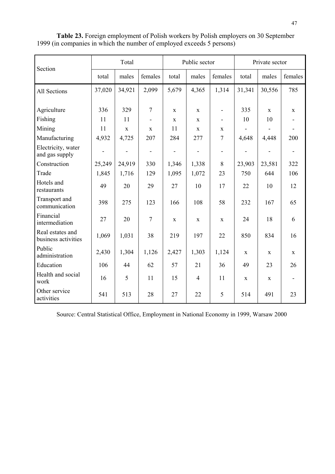| Section                                 |                              | Total       |                          |                              | Public sector            |                              |                          | Private sector |                          |
|-----------------------------------------|------------------------------|-------------|--------------------------|------------------------------|--------------------------|------------------------------|--------------------------|----------------|--------------------------|
|                                         | total                        | males       | females                  | total                        | males                    | females                      | total                    | males          | females                  |
| All Sections                            | 37,020                       | 34,921      | 2,099                    | 5,679                        | 4,365                    | 1,314                        | 31,341                   | 30,556         | 785                      |
| Agriculture                             | 336                          | 329         | $\overline{7}$           | X                            | X                        | $\qquad \qquad \blacksquare$ | 335                      | $\mathbf X$    | $\mathbf{X}$             |
| Fishing                                 | 11                           | 11          |                          | X                            | X                        | $\overline{\phantom{a}}$     | 10                       | 10             |                          |
| Mining                                  | 11                           | $\mathbf X$ | $\mathbf X$              | 11                           | $\mathbf{X}$             | X                            |                          |                | $\blacksquare$           |
| Manufacturing                           | 4,932                        | 4,725       | 207                      | 284                          | 277                      | 7                            | 4,648                    | 4,448          | 200                      |
| Electricity, water<br>and gas supply    | $\qquad \qquad \blacksquare$ | ۰           | $\overline{\phantom{a}}$ | $\qquad \qquad \blacksquare$ | $\overline{\phantom{a}}$ | $\overline{\phantom{a}}$     | $\overline{\phantom{a}}$ |                | $\overline{\phantom{a}}$ |
| Construction                            | 25,249                       | 24,919      | 330                      | 1,346                        | 1,338                    | 8                            | 23,903                   | 23,581         | 322                      |
| Trade                                   | 1,845                        | 1,716       | 129                      | 1,095                        | 1,072                    | 23                           | 750                      | 644            | 106                      |
| Hotels and<br>restaurants               | 49                           | 20          | 29                       | 27                           | 10                       | 17                           | 22                       | 10             | 12                       |
| Transport and<br>communication          | 398                          | 275         | 123                      | 166                          | 108                      | 58                           | 232                      | 167            | 65                       |
| Financial<br>intermediation             | 27                           | 20          | $\tau$                   | $\mathbf X$                  | $\mathbf X$              | $\mathbf X$                  | 24                       | 18             | 6                        |
| Real estates and<br>business activities | 1,069                        | 1,031       | 38                       | 219                          | 197                      | 22                           | 850                      | 834            | 16                       |
| Public<br>administration                | 2,430                        | 1,304       | 1,126                    | 2,427                        | 1,303                    | 1,124                        | $\mathbf X$              | $\mathbf X$    | $\mathbf{X}$             |
| Education                               | 106                          | 44          | 62                       | 57                           | 21                       | 36                           | 49                       | 23             | 26                       |
| Health and social<br>work               | 16                           | 5           | 11                       | 15                           | $\overline{4}$           | 11                           | $\mathbf X$              | $\mathbf X$    | $\blacksquare$           |
| Other service<br>activities             | 541                          | 513         | 28                       | 27                           | 22                       | 5                            | 514                      | 491            | 23                       |

**Table 23.** Foreign employment of Polish workers by Polish employers on 30 September 1999 (in companies in which the number of employed exceeds 5 persons)

Source: Central Statistical Office, Employment in National Economy in 1999, Warsaw 2000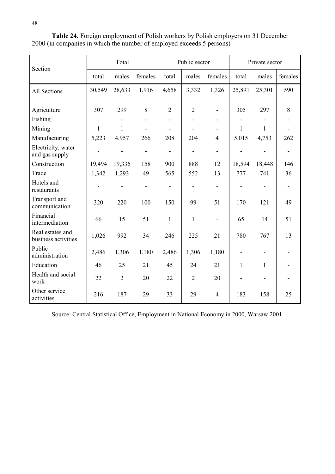| Section                                 | Total                    |                          |                          | Public sector                |                |                              |                          | Private sector               |                          |
|-----------------------------------------|--------------------------|--------------------------|--------------------------|------------------------------|----------------|------------------------------|--------------------------|------------------------------|--------------------------|
|                                         | total                    | males                    | females                  | total                        | males          | females                      | total                    | males                        | females                  |
| All Sections                            | 30,549                   | 28,633                   | 1,916                    | 4,658                        | 3,332          | 1,326                        | 25,891                   | 25,301                       | 590                      |
| Agriculture                             | 307                      | 299                      | 8                        | $\overline{2}$               | $\overline{2}$ | $\qquad \qquad \blacksquare$ | 305                      | 297                          | 8                        |
| Fishing                                 |                          |                          |                          |                              |                |                              |                          |                              |                          |
| Mining                                  | 1                        | $\mathbf{1}$             |                          |                              |                | $\blacksquare$               | 1                        | 1                            |                          |
| Manufacturing                           | 5,223                    | 4,957                    | 266                      | 208                          | 204            | $\overline{4}$               | 5,015                    | 4,753                        | 262                      |
| Electricity, water<br>and gas supply    | $\overline{a}$           | ÷,                       | $\blacksquare$           | $\overline{a}$               | L,             | $\blacksquare$               |                          | $\overline{\phantom{0}}$     | $\overline{\phantom{0}}$ |
| Construction                            | 19,494                   | 19,336                   | 158                      | 900                          | 888            | 12                           | 18,594                   | 18,448                       | 146                      |
| Trade                                   | 1,342                    | 1,293                    | 49                       | 565                          | 552            | 13                           | 777                      | 741                          | 36                       |
| Hotels and<br>restaurants               | $\overline{\phantom{a}}$ | $\overline{\phantom{0}}$ | $\overline{\phantom{a}}$ | $\qquad \qquad \blacksquare$ |                | $\blacksquare$               | $\overline{\phantom{0}}$ | $\qquad \qquad \blacksquare$ | $\blacksquare$           |
| Transport and<br>communication          | 320                      | 220                      | 100                      | 150                          | 99             | 51                           | 170                      | 121                          | 49                       |
| Financial<br>intermediation             | 66                       | 15                       | 51                       | $\mathbf{1}$                 | 1              | $\overline{\phantom{m}}$     | 65                       | 14                           | 51                       |
| Real estates and<br>business activities | 1,026                    | 992                      | 34                       | 246                          | 225            | 21                           | 780                      | 767                          | 13                       |
| Public<br>administration                | 2,486                    | 1,306                    | 1,180                    | 2,486                        | 1,306          | 1,180                        | $\overline{\phantom{a}}$ | $\overline{\phantom{a}}$     | $\blacksquare$           |
| Education                               | 46                       | 25                       | 21                       | 45                           | 24             | 21                           | 1                        | $\mathbf{1}$                 |                          |
| Health and social<br>work               | 22                       | $\overline{2}$           | 20                       | 22                           | $\overline{2}$ | 20                           | ÷,                       |                              |                          |
| Other service<br>activities             | 216                      | 187                      | 29                       | 33                           | 29             | $\overline{4}$               | 183                      | 158                          | 25                       |

**Table 24.** Foreign employment of Polish workers by Polish employers on 31 December 2000 (in companies in which the number of employed exceeds 5 persons)

Source: Central Statistical Office, Employment in National Economy in 2000, Warsaw 2001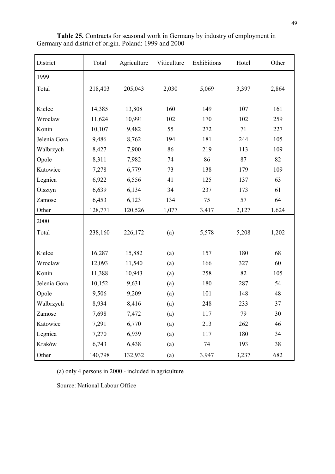| District     | Total   | Agriculture | Viticulture | Exhibitions | Hotel | Other |
|--------------|---------|-------------|-------------|-------------|-------|-------|
| 1999         |         |             |             |             |       |       |
| Total        | 218,403 | 205,043     | 2,030       | 5,069       | 3,397 | 2,864 |
|              |         |             |             |             |       |       |
| Kielce       | 14,385  | 13,808      | 160         | 149         | 107   | 161   |
| Wroclaw      | 11,624  | 10,991      | 102         | 170         | 102   | 259   |
| Konin        | 10,107  | 9,482       | 55          | 272         | 71    | 227   |
| Jelenia Gora | 9,486   | 8,762       | 194         | 181         | 244   | 105   |
| Walbrzych    | 8,427   | 7,900       | 86          | 219         | 113   | 109   |
| Opole        | 8,311   | 7,982       | 74          | 86          | 87    | 82    |
| Katowice     | 7,278   | 6,779       | 73          | 138         | 179   | 109   |
| Legnica      | 6,922   | 6,556       | 41          | 125         | 137   | 63    |
| Olsztyn      | 6,639   | 6,134       | 34          | 237         | 173   | 61    |
| Zamosc       | 6,453   | 6,123       | 134         | 75          | 57    | 64    |
| Other        | 128,771 | 120,526     | 1,077       | 3,417       | 2,127 | 1,624 |
| 2000         |         |             |             |             |       |       |
| Total        | 238,160 | 226,172     | (a)         | 5,578       | 5,208 | 1,202 |
|              |         |             |             |             |       |       |
| Kielce       | 16,287  | 15,882      | (a)         | 157         | 180   | 68    |
| Wroclaw      | 12,093  | 11,540      | (a)         | 166         | 327   | 60    |
| Konin        | 11,388  | 10,943      | (a)         | 258         | 82    | 105   |
| Jelenia Gora | 10,152  | 9,631       | (a)         | 180         | 287   | 54    |
| Opole        | 9,506   | 9,209       | (a)         | 101         | 148   | 48    |
| Walbrzych    | 8,934   | 8,416       | (a)         | 248         | 233   | 37    |
| Zamosc       | 7,698   | 7,472       | (a)         | 117         | 79    | 30    |
| Katowice     | 7,291   | 6,770       | (a)         | 213         | 262   | 46    |
| Legnica      | 7,270   | 6,939       | (a)         | 117         | 180   | 34    |
| Kraków       | 6,743   | 6,438       | (a)         | 74          | 193   | 38    |
| Other        | 140,798 | 132,932     | (a)         | 3,947       | 3,237 | 682   |

**Table 25.** Contracts for seasonal work in Germany by industry of employment in Germany and district of origin. Poland: 1999 and 2000

(a) only 4 persons in 2000 - included in agriculture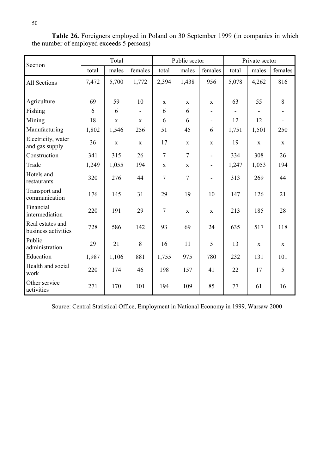| Section                                 |       | Total       |             |                | Public sector  |                          |       | Private sector |              |  |
|-----------------------------------------|-------|-------------|-------------|----------------|----------------|--------------------------|-------|----------------|--------------|--|
|                                         | total | males       | females     | total          | males          | females                  | total | males          | females      |  |
| All Sections                            | 7,472 | 5,700       | 1,772       | 2,394          | 1,438          | 956                      | 5,078 | 4,262          | 816          |  |
|                                         |       |             |             |                |                |                          |       |                |              |  |
| Agriculture                             | 69    | 59          | 10          | $\mathbf X$    | $\mathbf{X}$   | $\mathbf X$              | 63    | 55             | 8            |  |
| Fishing                                 | 6     | 6           |             | 6              | 6              |                          |       |                |              |  |
| Mining                                  | 18    | $\mathbf X$ | $\mathbf X$ | 6              | 6              | $\overline{\phantom{a}}$ | 12    | 12             |              |  |
| Manufacturing                           | 1,802 | 1,546       | 256         | 51             | 45             | 6                        | 1,751 | 1,501          | 250          |  |
| Electricity, water<br>and gas supply    | 36    | $\mathbf X$ | $\mathbf X$ | 17             | $\mathbf X$    | $\mathbf X$              | 19    | $\mathbf X$    | $\mathbf X$  |  |
| Construction                            | 341   | 315         | 26          | $\overline{7}$ | $\overline{7}$ | $\overline{\phantom{a}}$ | 334   | 308            | 26           |  |
| Trade                                   | 1,249 | 1,055       | 194         | $\mathbf X$    | $\mathbf X$    |                          | 1,247 | 1,053          | 194          |  |
| Hotels and<br>restaurants               | 320   | 276         | 44          | $\overline{7}$ | $\overline{7}$ |                          | 313   | 269            | 44           |  |
| Transport and<br>communication          | 176   | 145         | 31          | 29             | 19             | 10                       | 147   | 126            | 21           |  |
| Financial<br>intermediation             | 220   | 191         | 29          | $\overline{7}$ | $\mathbf{X}$   | $\mathbf X$              | 213   | 185            | 28           |  |
| Real estates and<br>business activities | 728   | 586         | 142         | 93             | 69             | 24                       | 635   | 517            | 118          |  |
| Public<br>administration                | 29    | 21          | 8           | 16             | 11             | 5                        | 13    | X              | $\mathbf{X}$ |  |
| Education                               | 1,987 | 1,106       | 881         | 1,755          | 975            | 780                      | 232   | 131            | 101          |  |
| Health and social<br>work               | 220   | 174         | 46          | 198            | 157            | 41                       | 22    | 17             | 5            |  |
| Other service<br>activities             | 271   | 170         | 101         | 194            | 109            | 85                       | 77    | 61             | 16           |  |

**Table 26.** Foreigners employed in Poland on 30 September 1999 (in companies in which the number of employed exceeds 5 persons)

Source: Central Statistical Office, Employment in National Economy in 1999, Warsaw 2000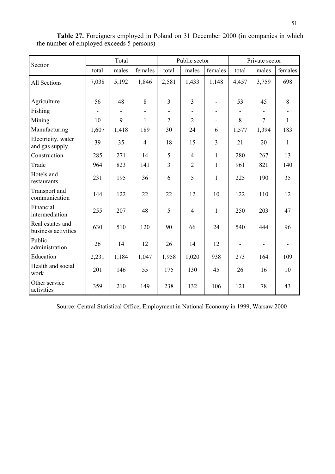| Section                                 |       | Total                        |                |                | Public sector  |                              | Private sector |        |              |
|-----------------------------------------|-------|------------------------------|----------------|----------------|----------------|------------------------------|----------------|--------|--------------|
|                                         | total | males                        | females        | total          | males          | females                      | total          | males  | females      |
| All Sections                            | 7,038 | 5,192                        | 1,846          | 2,581          | 1,433          | 1,148                        | 4,457          | 3,759  | 698          |
|                                         |       |                              |                |                |                |                              |                |        |              |
| Agriculture                             | 56    | 48                           | 8              | 3              | $\overline{3}$ | $\blacksquare$               | 53             | 45     | 8            |
| Fishing                                 |       | $\qquad \qquad \blacksquare$ |                |                |                | $\qquad \qquad \blacksquare$ |                |        |              |
| Mining                                  | 10    | 9                            | 1              | $\overline{2}$ | $\overline{2}$ | $\qquad \qquad \blacksquare$ | $8\,$          | $\tau$ | $\mathbf{1}$ |
| Manufacturing                           | 1,607 | 1,418                        | 189            | 30             | 24             | 6                            | 1,577          | 1,394  | 183          |
| Electricity, water<br>and gas supply    | 39    | 35                           | $\overline{4}$ | 18             | 15             | $\overline{3}$               | 21             | 20     | $\mathbf{1}$ |
| Construction                            | 285   | 271                          | 14             | 5              | $\overline{4}$ | $\mathbf{1}$                 | 280            | 267    | 13           |
| Trade                                   | 964   | 823                          | 141            | 3              | $\overline{2}$ | $\mathbf{1}$                 | 961            | 821    | 140          |
| Hotels and<br>restaurants               | 231   | 195                          | 36             | 6              | 5              | $\mathbf{1}$                 | 225            | 190    | 35           |
| Transport and<br>communication          | 144   | 122                          | 22             | 22             | 12             | 10                           | 122            | 110    | 12           |
| Financial<br>intermediation             | 255   | 207                          | 48             | 5              | $\overline{4}$ | $\mathbf{1}$                 | 250            | 203    | 47           |
| Real estates and<br>business activities | 630   | 510                          | 120            | 90             | 66             | 24                           | 540            | 444    | 96           |
| Public<br>administration                | 26    | 14                           | 12             | 26             | 14             | 12                           |                |        |              |
| Education                               | 2,231 | 1,184                        | 1,047          | 1,958          | 1,020          | 938                          | 273            | 164    | 109          |
| Health and social<br>work               | 201   | 146                          | 55             | 175            | 130            | 45                           | 26             | 16     | 10           |
| Other service<br>activities             | 359   | 210                          | 149            | 238            | 132            | 106                          | 121            | 78     | 43           |

**Table 27.** Foreigners employed in Poland on 31 December 2000 (in companies in which the number of employed exceeds 5 persons)

Source: Central Statistical Office, Employment in National Economy in 1999, Warsaw 2000

 $\overline{a}$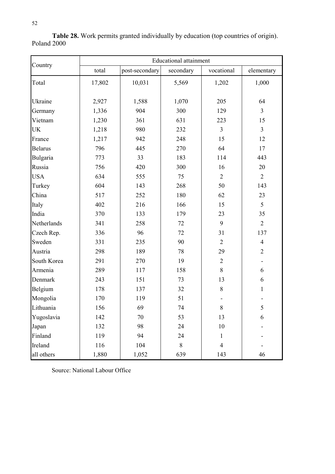| n sa<br>I<br>۰. |  |
|-----------------|--|

| Country        | <b>Educational attainment</b> |                |           |                |                |  |  |  |
|----------------|-------------------------------|----------------|-----------|----------------|----------------|--|--|--|
|                | total                         | post-secondary | secondary | vocational     | elementary     |  |  |  |
| Total          | 17,802                        | 10,031         | 5,569     | 1,202          | 1,000          |  |  |  |
| Ukraine        | 2,927                         | 1,588          | 1,070     | 205            | 64             |  |  |  |
| Germany        | 1,336                         | 904            | 300       | 129            | $\overline{3}$ |  |  |  |
| Vietnam        | 1,230                         | 361            | 631       | 223            | 15             |  |  |  |
| <b>UK</b>      | 1,218                         | 980            | 232       | $\overline{3}$ | $\overline{3}$ |  |  |  |
| France         | 1,217                         | 942            | 248       | 15             | 12             |  |  |  |
| <b>Belarus</b> | 796                           | 445            | 270       | 64             | 17             |  |  |  |
| Bulgaria       | 773                           | 33             | 183       | 114            | 443            |  |  |  |
| Russia         | 756                           | 420            | 300       | 16             | 20             |  |  |  |
| <b>USA</b>     | 634                           | 555            | 75        | $\overline{2}$ | $\overline{2}$ |  |  |  |
| Turkey         | 604                           | 143            | 268       | 50             | 143            |  |  |  |
| China          | 517                           | 252            | 180       | 62             | 23             |  |  |  |
| Italy          | 402                           | 216            | 166       | 15             | 5              |  |  |  |
| India          | 370                           | 133            | 179       | 23             | 35             |  |  |  |
| Netherlands    | 341                           | 258            | 72        | 9              | $\overline{2}$ |  |  |  |
| Czech Rep.     | 336                           | 96             | 72        | 31             | 137            |  |  |  |
| Sweden         | 331                           | 235            | 90        | $\overline{2}$ | $\overline{4}$ |  |  |  |
| Austria        | 298                           | 189            | 78        | 29             | $\overline{2}$ |  |  |  |
| South Korea    | 291                           | 270            | 19        | $\mathbf{2}$   |                |  |  |  |
| Armenia        | 289                           | 117            | 158       | $8\,$          | 6              |  |  |  |
| Denmark        | 243                           | 151            | 73        | 13             | 6              |  |  |  |
| Belgium        | 178                           | 137            | 32        | $8\,$          | 1              |  |  |  |
| Mongolia       | 170                           | 119            | 51        |                |                |  |  |  |
| Lithuania      | 156                           | 69             | 74        | $8\,$          | $\mathfrak{c}$ |  |  |  |
| Yugoslavia     | 142                           | 70             | 53        | 13             | 6              |  |  |  |
| Japan          | 132                           | 98             | 24        | 10             |                |  |  |  |
| Finland        | 119                           | 94             | 24        | $\mathbf{1}$   |                |  |  |  |
| Ireland        | 116                           | 104            | $8\,$     | $\overline{4}$ |                |  |  |  |
| all others     | 1,880                         | 1,052          | 639       | 143            | 46             |  |  |  |

**Table 28.** Work permits granted individually by education (top countries of origin). Poland 2000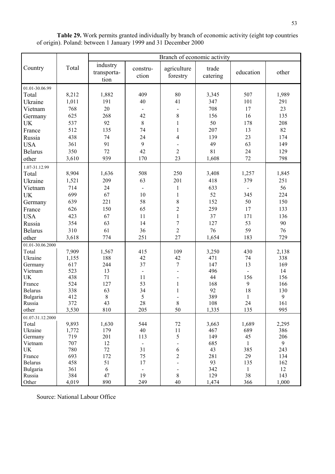|                                 |                | Branch of economic activity     |                   |                         |                   |                    |              |  |  |
|---------------------------------|----------------|---------------------------------|-------------------|-------------------------|-------------------|--------------------|--------------|--|--|
| Country                         | Total          | industry<br>transporta-<br>tion | constru-<br>ction | agriculture<br>forestry | trade<br>catering | education          | other        |  |  |
| 01.01-30.06.99                  |                |                                 |                   |                         |                   |                    |              |  |  |
| Total                           | 8,212          | 1,882                           | 409               | 80                      | 3,345             | 507                | 1,989        |  |  |
| Ukraine                         | 1,011          | 191                             | 40                | 41                      | 347               | 101                | 291          |  |  |
| Vietnam                         | 768            | 20                              |                   |                         | 708               | 17                 | 23           |  |  |
| Germany                         | 625            | 268                             | 42                | 8                       | 156               | 16                 | 135          |  |  |
| UK                              | 537            | 92                              | $\,8\,$           | $\mathbf{1}$            | 50                | 178                | 208          |  |  |
| France                          | 512            | 135                             | 74                | $\mathbf{1}$            | 207               | 13                 | 82           |  |  |
| Russia                          | 438            | 74                              | 24                | $\overline{\mathbf{4}}$ | 139               | 23                 | 174          |  |  |
| <b>USA</b>                      | 361            | 91                              | 9                 |                         | 49                | 63                 | 149          |  |  |
| <b>Belarus</b>                  | 350            | 72                              | 42                | $\overline{2}$          | 81                | 24                 | 129          |  |  |
| other                           | 3,610          | 939                             | 170               | 23                      | 1,608             | 72                 | 798          |  |  |
|                                 |                |                                 |                   |                         |                   |                    |              |  |  |
| 1.07-31.12.99                   |                |                                 |                   | 250                     |                   |                    |              |  |  |
| Total                           | 8,904          | 1,636                           | 508               |                         | 3,408             | 1,257              | 1,845        |  |  |
| Ukraine                         | 1,521          | 209                             | 63                | 201                     | 418               | 379                | 251          |  |  |
| Vietnam                         | 714            | 24                              |                   | $\mathbf{1}$            | 633               | $\blacksquare$     | 56           |  |  |
| UK                              | 699            | 67                              | 10                | $\mathbf{1}$            | 52                | 345                | 224          |  |  |
| Germany                         | 639            | 221                             | 58                | $8\,$                   | 152               | 50                 | 150          |  |  |
| France                          | 626            | 150                             | 65                | $\overline{c}$          | 259               | 17                 | 133          |  |  |
| <b>USA</b>                      | 423            | 67                              | 11                | $\mathbf{1}$            | 37                | 171                | 136          |  |  |
| Russia                          | 354            | 63                              | 14                | $\overline{7}$          | 127               | 53                 | 90           |  |  |
| <b>Belarus</b>                  | 310            | 61                              | 36                | $\overline{2}$          | 76                | 59                 | 76           |  |  |
| other                           | 3,618          | 774                             | 251               | $27\,$                  | 1,654             | 183                | 729          |  |  |
| 01.01-30.06.2000                |                |                                 |                   |                         |                   |                    |              |  |  |
| Total                           | 7,909          | 1,567                           | 415               | 109                     | 3,250             | 430                | 2,138        |  |  |
| Ukraine                         | 1,155          | 188                             | 42                | 42                      | 471               | 74                 | 338          |  |  |
| Germany                         | 617            | 244                             | 37                | $\boldsymbol{7}$        | 147               | 13                 | 169          |  |  |
| Vietnam                         | 523            | 13                              | $\blacksquare$    |                         | 496               |                    | 14           |  |  |
| UK                              | 438            | 71                              | 11                |                         | 44                | 156                | 156          |  |  |
| France                          | 524            | 127                             | 53                | $\mathbf{1}$            | 168               | 9                  | 166          |  |  |
| <b>Belarus</b>                  | 338            | 63                              | 34                | $\mathbf{1}$            | 92                | 18                 | 130          |  |  |
| Bulgaria<br>Russia              | 412<br>372     | $8\,$<br>43                     | 5<br>28           | 8                       | 389<br>$108\,$    | $\mathbf{1}$<br>24 | 9<br>161     |  |  |
| other                           | 3,530          | 810                             | 205               | 50                      | 1,335             | 135                | 995          |  |  |
|                                 |                |                                 |                   |                         |                   |                    |              |  |  |
| 01.07-31.12.2000                |                |                                 |                   |                         |                   |                    |              |  |  |
| Total<br>Ukraine                | 9,893<br>1,772 | 1,630<br>179                    | 544<br>40         | $72\,$<br>11            | 3,663<br>467      | 1,689<br>689       | 2,295<br>386 |  |  |
| Germany                         | 719            | 201                             | 113               | 5                       | 149               | 45                 | 206          |  |  |
| Vietnam                         | 707            | 12                              | $\blacksquare$    |                         | 685               | $\mathbf{1}$       | 9            |  |  |
| $\ensuremath{\text{UK}}\xspace$ | 780            | 72                              | 31                | 6                       | 43                | 385                | 243          |  |  |
| France                          | 693            | 172                             | 75                | $\overline{2}$          | 281               | 29                 | 134          |  |  |
| <b>Belarus</b>                  | 458            | 51                              | 17                |                         | 93                | 135                | 162          |  |  |
| Bulgaria                        | 361            | 6                               | $\blacksquare$    |                         | 342               | $\mathbf{1}$       | 12           |  |  |
| Russia                          | 384            | 47                              | 19                | 8                       | 129               | 38                 | 143          |  |  |
| Other                           | 4,019          | 890                             | 249               | 40                      | 1,474             | 366                | 1,000        |  |  |

**Table 29.** Work permits granted individually by branch of economic activity (eight top countries of origin). Poland: between 1 January 1999 and 31 December 2000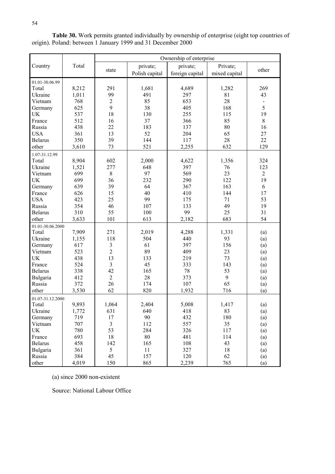|                  |       | Ownership of enterprise |                |                 |               |                |  |  |
|------------------|-------|-------------------------|----------------|-----------------|---------------|----------------|--|--|
| Country          | Total |                         | private;       | private;        | Private;      |                |  |  |
|                  |       | state                   | Polish capital | foreign capital | mixed capital | other          |  |  |
| 01.01-30.06.99   |       |                         |                |                 |               |                |  |  |
| Total            | 8,212 | 291                     | 1,681          | 4,689           | 1,282         | 269            |  |  |
| Ukraine          | 1,011 | 99                      | 491            | 297             | 81            | 43             |  |  |
| Vietnam          | 768   | $\overline{2}$          | 85             | 653             | 28            |                |  |  |
| Germany          | 625   | 9                       | 38             | 405             | 168           | 5              |  |  |
| <b>UK</b>        | 537   | 18                      | 130            | 255             | 115           | 19             |  |  |
| France           | 512   | 16                      | 37             | 366             | 85            | 8              |  |  |
| Russia           | 438   | 22                      | 183            | 137             | 80            | 16             |  |  |
| <b>USA</b>       | 361   | 13                      | 52             | 204             | 65            | 27             |  |  |
| <b>Belarus</b>   | 350   | 39                      | 144            | 117             | 28            | 22             |  |  |
| other            | 3,610 | 73                      | 521            | 2,255           | 632           | 129            |  |  |
| 1.07-31.12.99    |       |                         |                |                 |               |                |  |  |
| Total            | 8,904 | 602                     | 2,000          | 4,622           | 1,356         | 324            |  |  |
| Ukraine          | 1,521 | 277                     | 648            | 397             | 76            | 123            |  |  |
| Vietnam          | 699   | $8\,$                   | 97             | 569             | 23            | $\overline{2}$ |  |  |
| UK               | 699   | 36                      | 232            | 290             | 122           | 19             |  |  |
| Germany          | 639   | 39                      | 64             | 367             | 163           | 6              |  |  |
| France           | 626   | 15                      | 40             | 410             | 144           | 17             |  |  |
| <b>USA</b>       | 423   | 25                      | 99             | 175             | 71            | 53             |  |  |
| Russia           | 354   | 46                      | 107            | 133             | 49            | 19             |  |  |
| <b>Belarus</b>   | 310   | 55                      | 100            | 99              | 25            | 31             |  |  |
| other            | 3,633 | 101                     | 613            | 2,182           | 683           | 54             |  |  |
| 01.01-30.06.2000 |       |                         |                |                 |               |                |  |  |
| Total            | 7,909 | 271                     | 2,019          | 4,288           | 1,331         | (a)            |  |  |
| Ukraine          | 1,155 | 118                     | 504            | 440             | 93            | (a)            |  |  |
| Germany          | 617   | $\mathfrak{Z}$          | 61             | 397             | 156           | (a)            |  |  |
| Vietnam          | 523   | $\overline{2}$          | 89             | 409             | 23            | (a)            |  |  |
| <b>UK</b>        | 438   | 13                      | 133            | 219             | 73            | (a)            |  |  |
| France           | 524   | $\mathfrak{Z}$          | 45             | 333             | 143           | (a)            |  |  |
| <b>Belarus</b>   | 338   | 42                      | 165            | 78              | 53            | (a)            |  |  |
| Bulgaria         | 412   | $\overline{2}$          | 28             | 373             | 9             | (a)            |  |  |
| Russia           | 372   | 26                      | 174            | 107             | 65            | (a)            |  |  |
| other            | 3,530 | 62                      | 820            | 1,932           | 716           | (a)            |  |  |
| 01.07-31.12.2000 |       |                         |                |                 |               |                |  |  |
| Total            | 9,893 | 1,064                   | 2,404          | 5,008           | 1,417         | (a)            |  |  |
| Ukraine          | 1,772 | 631                     | 640            | 418             | 83            | (a)            |  |  |
| Germany          | 719   | 17                      | 90             | 432             | 180           | (a)            |  |  |
| Vietnam          | 707   | $\mathfrak{Z}$          | 112            | 557             | 35            | (a)            |  |  |
| UK               | 780   | 53                      | 284            | 326             | 117           | (a)            |  |  |
| France           | 693   | 18                      | 80             | 481             | 114           | (a)            |  |  |
| Belarus          | 458   | 142                     | 165            | 108             | 43            | (a)            |  |  |
| Bulgaria         | 361   | 5                       | 11             | 327             | 18            | (a)            |  |  |
| Russia           | 384   | 45                      | 157            | 120             | 62            | (a)            |  |  |
| other            | 4,019 | 150                     | 865            | 2,239           | 765           | (a)            |  |  |

**Table 30.** Work permits granted individually by ownership of enterprise (eight top countries of origin). Poland: between 1 January 1999 and 31 December 2000

(a) since 2000 non-existent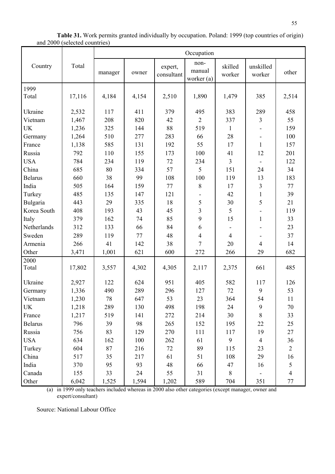|                |        |         |       |                       | Occupation                     |                   |                     |                |
|----------------|--------|---------|-------|-----------------------|--------------------------------|-------------------|---------------------|----------------|
| Country        | Total  | manager | owner | expert,<br>consultant | non-<br>manual<br>worker $(a)$ | skilled<br>worker | unskilled<br>worker | other          |
| 1999           |        |         |       |                       |                                |                   |                     |                |
| Total          | 17,116 | 4,184   | 4,154 | 2,510                 | 1,890                          | 1,479             | 385                 | 2,514          |
| Ukraine        | 2,532  | 117     | 411   | 379                   | 495                            | 383               | 289                 | 458            |
| Vietnam        | 1,467  | 208     | 820   | 42                    | $\overline{2}$                 | 337               | $\mathfrak{Z}$      | 55             |
| <b>UK</b>      | 1,236  | 325     | 144   | 88                    | 519                            | $\mathbf{1}$      |                     | 159            |
| Germany        | 1,264  | 510     | 277   | 283                   | 66                             | 28                |                     | 100            |
| France         | 1,138  | 585     | 131   | 192                   | 55                             | 17                | $\mathbf{1}$        | 157            |
| Russia         | 792    | 110     | 155   | 173                   | 100                            | 41                | 12                  | 201            |
| <b>USA</b>     | 784    | 234     | 119   | 72                    | 234                            | 3                 |                     | 122            |
| China          | 685    | 80      | 334   | 57                    | 5                              | 151               | 24                  | 34             |
| <b>Belarus</b> | 660    | 38      | 99    | 108                   | 100                            | 119               | 13                  | 183            |
| India          | 505    | 164     | 159   | 77                    | $\,8\,$                        | 17                | $\overline{3}$      | 77             |
| Turkey         | 485    | 135     | 147   | 121                   |                                | 42                | $\mathbf{1}$        | 39             |
| Bulgaria       | 443    | 29      | 335   | 18                    | 5                              | 30                | 5                   | 21             |
| Korea South    | 408    | 193     | 43    | 45                    | $\overline{3}$                 | 5                 |                     | 119            |
| Italy          | 379    | 162     | 74    | 85                    | 9                              | 15                | $\mathbf{1}$        | 33             |
| Netherlands    | 312    | 133     | 66    | 84                    | 6                              |                   |                     | 23             |
| Sweden         | 289    | 119     | 77    | 48                    | $\overline{4}$                 | $\overline{4}$    |                     | 37             |
| Armenia        | 266    | 41      | 142   | 38                    | $\overline{7}$                 | 20                | $\overline{4}$      | 14             |
| Other          | 3,471  | 1,001   | 621   | 600                   | 272                            | 266               | 29                  | 682            |
| 2000           |        |         |       |                       |                                |                   |                     |                |
| Total          | 17,802 | 3,557   | 4,302 | 4,305                 | 2,117                          | 2,375             | 661                 | 485            |
| Ukraine        | 2,927  | 122     | 624   | 951                   | 405                            | 582               | 117                 | 126            |
| Germany        | 1,336  | 490     | 289   | 296                   | 127                            | 72                | 9                   | 53             |
| Vietnam        | 1,230  | 78      | 647   | 53                    | 23                             | 364               | 54                  | 11             |
| <b>UK</b>      | 1,218  | 289     | 130   | 498                   | 198                            | 24                | 9                   | 70             |
| France         | 1,217  | 519     | 141   | 272                   | 214                            | 30                | $8\,$               | 33             |
| <b>Belarus</b> | 796    | 39      | 98    | 265                   | 152                            | 195               | 22                  | 25             |
| Russia         | 756    | 83      | 129   | 270                   | 111                            | 117               | 19                  | 27             |
| <b>USA</b>     | 634    | 162     | 100   | 262                   | 61                             | 9                 | $\overline{4}$      | 36             |
| Turkey         | 604    | 87      | 216   | 72                    | 89                             | 115               | 23                  | $\overline{2}$ |
| China          | 517    | 35      | 217   | 61                    | 51                             | 108               | 29                  | 16             |
| India          | 370    | 95      | 93    | 48                    | 66                             | 47                | 16                  | 5              |
| Canada         | 155    | 33      | 24    | 55                    | 31                             | 8                 |                     | $\overline{4}$ |
| Other          | 6,042  | 1,525   | 1,594 | 1,202                 | 589                            | 704               | 351                 | 77             |

**Table 31.** Work permits granted individually by occupation. Poland: 1999 (top countries of origin) and 2000 (selected countries)

(a) in 1999 only teachers included whereas in 2000 also other categories (except manager, owner and expert/consultant)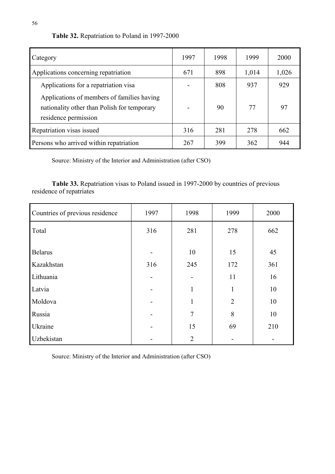| Table 32. Repatriation to Poland in 1997-2000 |  |  |
|-----------------------------------------------|--|--|
|-----------------------------------------------|--|--|

| Category                                                                                                          | 1997 | 1998 | 1999  | <b>2000</b> |
|-------------------------------------------------------------------------------------------------------------------|------|------|-------|-------------|
| Applications concerning repatriation                                                                              | 671  | 898  | 1,014 | 1,026       |
| Applications for a repatriation visa                                                                              |      | 808  | 937   | 929         |
| Applications of members of families having<br>nationality other than Polish for temporary<br>residence permission |      | 90   | 77    | 97          |
| Repatriation visas issued                                                                                         | 316  | 281  | 278   | 662         |
| Persons who arrived within repatriation                                                                           | 267  | 399  | 362   | 944         |

Source: Ministry of the Interior and Administration (after CSO)

**Table 33.** Repatriation visas to Poland issued in 1997-2000 by countries of previous residence of repatriates

| Countries of previous residence | 1997                     | 1998           | 1999           | 2000 |
|---------------------------------|--------------------------|----------------|----------------|------|
| Total                           | 316                      | 281            | 278            | 662  |
|                                 |                          |                |                |      |
| <b>Belarus</b>                  | $\overline{\phantom{0}}$ | 10             | 15             | 45   |
| Kazakhstan                      | 316                      | 245            | 172            | 361  |
| Lithuania                       | $\blacksquare$           |                | 11             | 16   |
| Latvia                          | -                        | 1              | 1              | 10   |
| Moldova                         | $\overline{\phantom{0}}$ | $\mathbf{1}$   | $\overline{2}$ | 10   |
| Russia                          | -                        | $\overline{7}$ | 8              | 10   |
| Ukraine                         | $\overline{\phantom{a}}$ | 15             | 69             | 210  |
| Uzbekistan                      |                          | $\overline{2}$ |                |      |

Source: Ministry of the Interior and Administration (after CSO)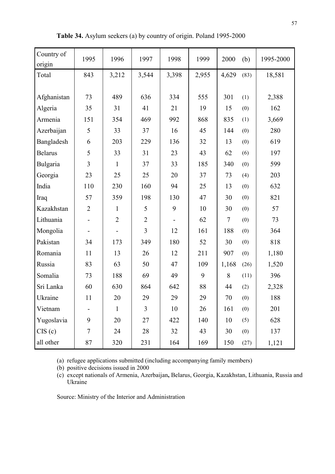| Country of<br>origin | 1995                         | 1996           | 1997           | 1998  | 1999  | 2000                     | (b)  | 1995-2000 |
|----------------------|------------------------------|----------------|----------------|-------|-------|--------------------------|------|-----------|
| Total                | 843                          | 3,212          | 3,544          | 3,398 | 2,955 | 4,629                    | (83) | 18,581    |
|                      |                              |                |                |       |       |                          |      |           |
| Afghanistan          | 73                           | 489            | 636            | 334   | 555   | 301                      | (1)  | 2,388     |
| Algeria              | 35                           | 31             | 41             | 21    | 19    | 15                       | (0)  | 162       |
| Armenia              | 151                          | 354            | 469            | 992   | 868   | 835                      | (1)  | 3,669     |
| Azerbaijan           | 5                            | 33             | 37             | 16    | 45    | 144                      | (0)  | 280       |
| Bangladesh           | 6                            | 203            | 229            | 136   | 32    | 13                       | (0)  | 619       |
| <b>Belarus</b>       | 5                            | 33             | 31             | 23    | 43    | 62                       | (6)  | 197       |
| <b>Bulgaria</b>      | 3                            | $\mathbf{1}$   | 37             | 33    | 185   | 340                      | (0)  | 599       |
| Georgia              | 23                           | 25             | 25             | 20    | 37    | 73                       | (4)  | 203       |
| India                | 110                          | 230            | 160            | 94    | 25    | 13                       | (0)  | 632       |
| Iraq                 | 57                           | 359            | 198            | 130   | 47    | 30                       | (0)  | 821       |
| Kazakhstan           | $\overline{2}$               | $\mathbf{1}$   | 5              | 9     | 10    | 30                       | (0)  | 57        |
| Lithuania            |                              | $\overline{2}$ | $\overline{2}$ |       | 62    | $\overline{\mathcal{L}}$ | (0)  | 73        |
| Mongolia             | $\qquad \qquad \blacksquare$ |                | 3              | 12    | 161   | 188                      | (0)  | 364       |
| Pakistan             | 34                           | 173            | 349            | 180   | 52    | 30                       | (0)  | 818       |
| Romania              | 11                           | 13             | 26             | 12    | 211   | 907                      | (0)  | 1,180     |
| Russia               | 83                           | 63             | 50             | 47    | 109   | 1,168                    | (26) | 1,520     |
| Somalia              | 73                           | 188            | 69             | 49    | 9     | 8                        | (11) | 396       |
| Sri Lanka            | 60                           | 630            | 864            | 642   | 88    | 44                       | (2)  | 2,328     |
| Ukraine              | 11                           | 20             | 29             | 29    | 29    | 70                       | (0)  | 188       |
| Vietnam              |                              | $\mathbf{1}$   | 3              | 10    | 26    | 161                      | (0)  | 201       |
| Yugoslavia           | 9                            | 20             | 27             | 422   | 140   | 10                       | (5)  | 628       |
| CIS(c)               | $\overline{7}$               | 24             | 28             | 32    | 43    | 30                       | (0)  | 137       |
| all other            | 87                           | 320            | 231            | 164   | 169   | 150                      | (27) | 1,121     |

**Table 34.** Asylum seekers (a) by country of origin. Poland 1995-2000

(a) refugee applications submitted (including accompanying family members)

(b) positive decisions issued in 2000

(c) except nationals of Armenia, Azerbaijan**,** Belarus, Georgia, Kazakhstan, Lithuania, Russia and Ukraine

Source: Ministry of the Interior and Administration